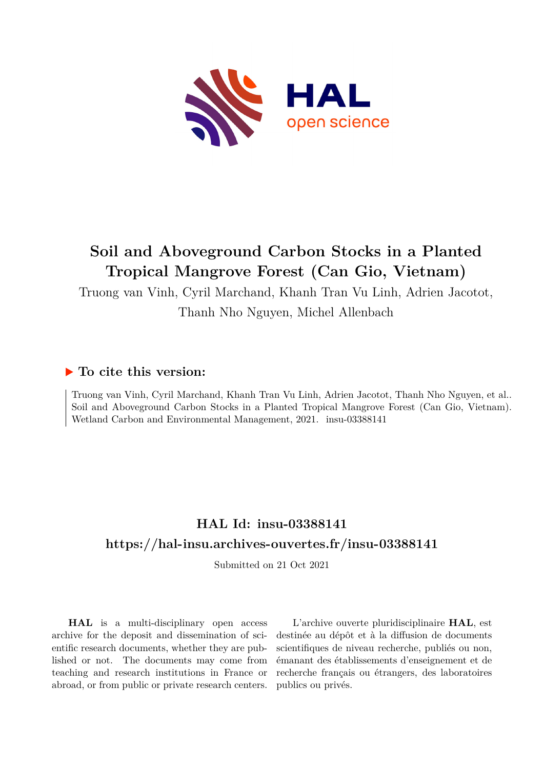

# **Soil and Aboveground Carbon Stocks in a Planted Tropical Mangrove Forest (Can Gio, Vietnam)**

Truong van Vinh, Cyril Marchand, Khanh Tran Vu Linh, Adrien Jacotot, Thanh Nho Nguyen, Michel Allenbach

# **To cite this version:**

Truong van Vinh, Cyril Marchand, Khanh Tran Vu Linh, Adrien Jacotot, Thanh Nho Nguyen, et al.. Soil and Aboveground Carbon Stocks in a Planted Tropical Mangrove Forest (Can Gio, Vietnam). Wetland Carbon and Environmental Management, 2021. insu-03388141

# **HAL Id: insu-03388141 <https://hal-insu.archives-ouvertes.fr/insu-03388141>**

Submitted on 21 Oct 2021

**HAL** is a multi-disciplinary open access archive for the deposit and dissemination of scientific research documents, whether they are published or not. The documents may come from teaching and research institutions in France or abroad, or from public or private research centers.

L'archive ouverte pluridisciplinaire **HAL**, est destinée au dépôt et à la diffusion de documents scientifiques de niveau recherche, publiés ou non, émanant des établissements d'enseignement et de recherche français ou étrangers, des laboratoires publics ou privés.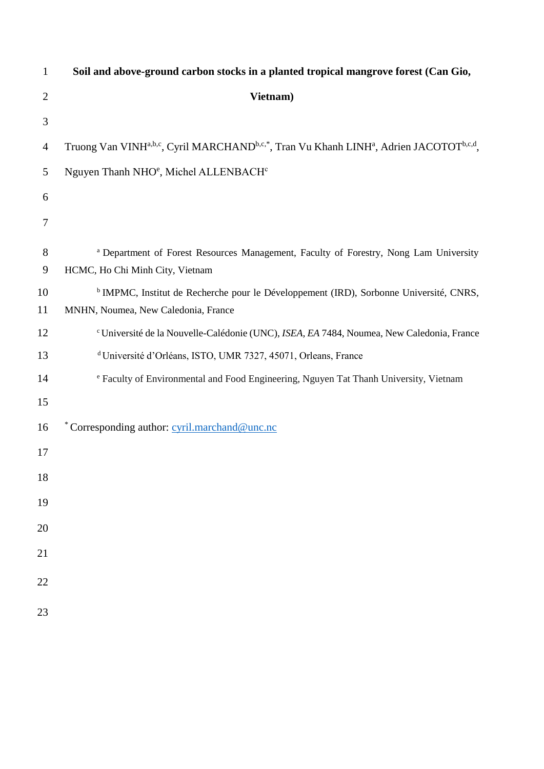| $\mathbf{1}$   | Soil and above-ground carbon stocks in a planted tropical mangrove forest (Can Gio,                                                      |
|----------------|------------------------------------------------------------------------------------------------------------------------------------------|
| $\overline{2}$ | Vietnam)                                                                                                                                 |
| 3              |                                                                                                                                          |
| 4              | Truong Van VINH <sup>a,b,c</sup> , Cyril MARCHAND <sup>b,c,*</sup> , Tran Vu Khanh LINH <sup>a</sup> , Adrien JACOTOT <sup>b,c,d</sup> , |
| 5              | Nguyen Thanh NHO <sup>e</sup> , Michel ALLENBACH <sup>c</sup>                                                                            |
| 6              |                                                                                                                                          |
| $\overline{7}$ |                                                                                                                                          |
| 8<br>9         | <sup>a</sup> Department of Forest Resources Management, Faculty of Forestry, Nong Lam University<br>HCMC, Ho Chi Minh City, Vietnam      |
| 10             | <sup>b</sup> IMPMC, Institut de Recherche pour le Développement (IRD), Sorbonne Université, CNRS,                                        |
| 11             | MNHN, Noumea, New Caledonia, France                                                                                                      |
| 12             | <sup>c</sup> Université de la Nouvelle-Calédonie (UNC), ISEA, EA 7484, Noumea, New Caledonia, France                                     |
| 13             | <sup>d</sup> Université d'Orléans, ISTO, UMR 7327, 45071, Orleans, France                                                                |
| 14             | <sup>e</sup> Faculty of Environmental and Food Engineering, Nguyen Tat Thanh University, Vietnam                                         |
| 15             |                                                                                                                                          |
| 16             | *Corresponding author: cyril.marchand@unc.nc                                                                                             |
| 17             |                                                                                                                                          |
| 18             |                                                                                                                                          |
| 19             |                                                                                                                                          |
| $20\,$         |                                                                                                                                          |
| 21             |                                                                                                                                          |
| $22\,$         |                                                                                                                                          |
| 23             |                                                                                                                                          |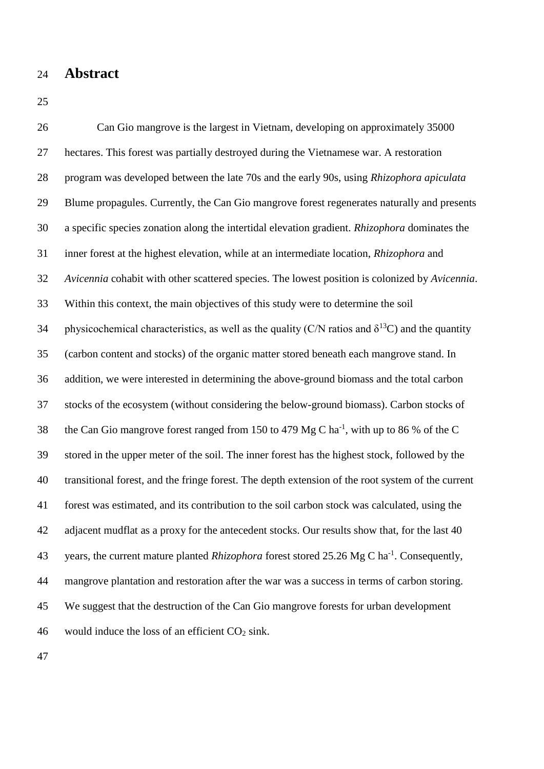- **Abstract**
- 

 Can Gio mangrove is the largest in Vietnam, developing on approximately 35000 hectares. This forest was partially destroyed during the Vietnamese war. A restoration program was developed between the late 70s and the early 90s, using *Rhizophora apiculata* Blume propagules. Currently, the Can Gio mangrove forest regenerates naturally and presents a specific species zonation along the intertidal elevation gradient. *Rhizophora* dominates the inner forest at the highest elevation, while at an intermediate location, *Rhizophora* and *Avicennia* cohabit with other scattered species. The lowest position is colonized by *Avicennia*. Within this context, the main objectives of this study were to determine the soil 34 physicochemical characteristics, as well as the quality (C/N ratios and  $\delta^{13}$ C) and the quantity (carbon content and stocks) of the organic matter stored beneath each mangrove stand. In addition, we were interested in determining the above-ground biomass and the total carbon stocks of the ecosystem (without considering the below-ground biomass). Carbon stocks of 38 the Can Gio mangrove forest ranged from 150 to 479 Mg C ha<sup>-1</sup>, with up to 86 % of the C stored in the upper meter of the soil. The inner forest has the highest stock, followed by the transitional forest, and the fringe forest. The depth extension of the root system of the current forest was estimated, and its contribution to the soil carbon stock was calculated, using the adjacent mudflat as a proxy for the antecedent stocks. Our results show that, for the last 40 43 years, the current mature planted *Rhizophora* forest stored 25.26 Mg C ha<sup>-1</sup>. Consequently, mangrove plantation and restoration after the war was a success in terms of carbon storing. We suggest that the destruction of the Can Gio mangrove forests for urban development 46 would induce the loss of an efficient  $CO<sub>2</sub>$  sink.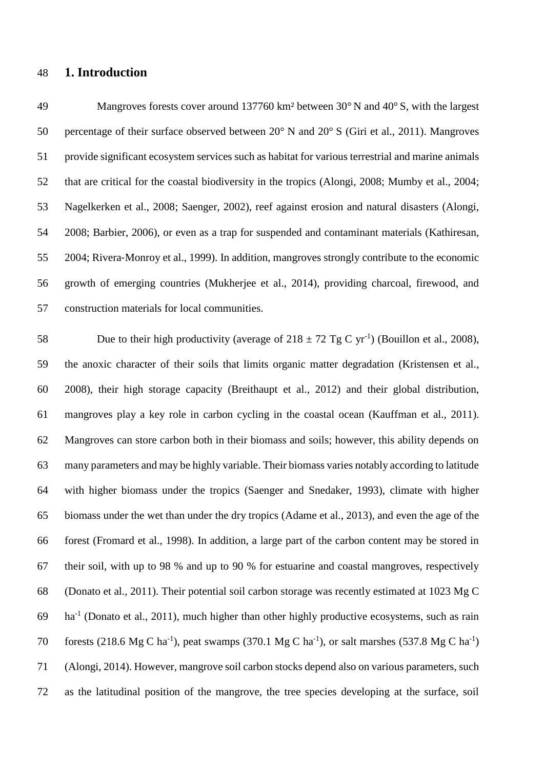### **1. Introduction**

 Mangroves forests cover around 137760 km² between 30° N and 40° S, with the largest percentage of their surface observed between 20° N and 20° S (Giri et al., 2011). Mangroves provide significant ecosystem services such as habitat for various terrestrial and marine animals that are critical for the coastal biodiversity in the tropics (Alongi, 2008; Mumby et al., 2004; Nagelkerken et al., 2008; Saenger, 2002), reef against erosion and natural disasters (Alongi, 2008; Barbier, 2006), or even as a trap for suspended and contaminant materials (Kathiresan, 2004; Rivera‐Monroy et al., 1999). In addition, mangroves strongly contribute to the economic growth of emerging countries (Mukherjee et al., 2014), providing charcoal, firewood, and construction materials for local communities.

58 Due to their high productivity (average of  $218 \pm 72$  Tg C yr<sup>-1</sup>) (Bouillon et al., 2008), the anoxic character of their soils that limits organic matter degradation (Kristensen et al., 2008), their high storage capacity (Breithaupt et al., 2012) and their global distribution, mangroves play a key role in carbon cycling in the coastal ocean (Kauffman et al., 2011). Mangroves can store carbon both in their biomass and soils; however, this ability depends on many parameters and may be highly variable. Their biomass varies notably according to latitude with higher biomass under the tropics (Saenger and Snedaker, 1993), climate with higher biomass under the wet than under the dry tropics (Adame et al., 2013), and even the age of the forest (Fromard et al., 1998). In addition, a large part of the carbon content may be stored in their soil, with up to 98 % and up to 90 % for estuarine and coastal mangroves, respectively (Donato et al., 2011). Their potential soil carbon storage was recently estimated at 1023 Mg C ha<sup>-1</sup> (Donato et al., 2011), much higher than other highly productive ecosystems, such as rain 70 forests (218.6 Mg C ha<sup>-1</sup>), peat swamps (370.1 Mg C ha<sup>-1</sup>), or salt marshes (537.8 Mg C ha<sup>-1</sup>) (Alongi, 2014). However, mangrove soil carbon stocks depend also on various parameters, such as the latitudinal position of the mangrove, the tree species developing at the surface, soil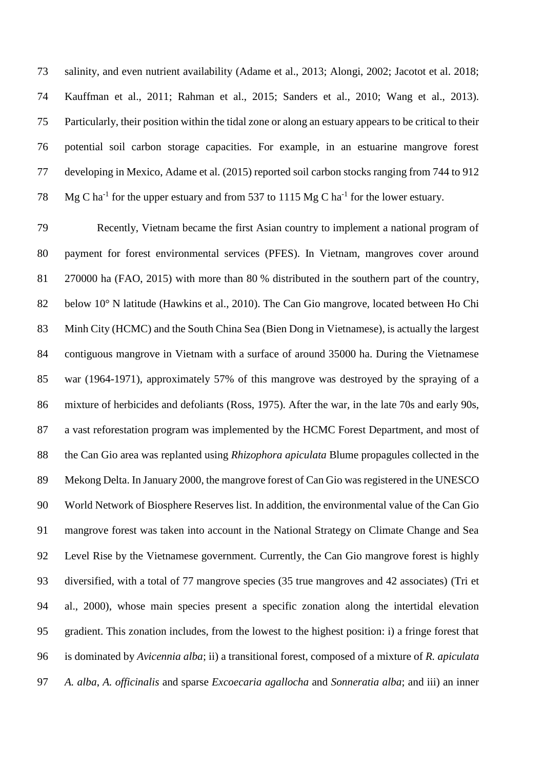salinity, and even nutrient availability (Adame et al., 2013; Alongi, 2002; Jacotot et al. 2018; Kauffman et al., 2011; Rahman et al., 2015; Sanders et al., 2010; Wang et al., 2013). Particularly, their position within the tidal zone or along an estuary appears to be critical to their potential soil carbon storage capacities. For example, in an estuarine mangrove forest developing in Mexico, Adame et al. (2015) reported soil carbon stocks ranging from 744 to 912 78 Mg C ha<sup>-1</sup> for the upper estuary and from 537 to 1115 Mg C ha<sup>-1</sup> for the lower estuary.

 Recently, Vietnam became the first Asian country to implement a national program of payment for forest environmental services (PFES). In Vietnam, mangroves cover around 270000 ha (FAO, 2015) with more than 80 % distributed in the southern part of the country, 82 below 10° N latitude (Hawkins et al., 2010). The Can Gio mangrove, located between Ho Chi Minh City (HCMC) and the South China Sea (Bien Dong in Vietnamese), is actually the largest contiguous mangrove in Vietnam with a surface of around 35000 ha. During the Vietnamese war (1964-1971), approximately 57% of this mangrove was destroyed by the spraying of a mixture of herbicides and defoliants (Ross, 1975). After the war, in the late 70s and early 90s, a vast reforestation program was implemented by the HCMC Forest Department, and most of the Can Gio area was replanted using *Rhizophora apiculata* Blume propagules collected in the Mekong Delta. In January 2000, the mangrove forest of Can Gio was registered in the UNESCO World Network of Biosphere Reserves list. In addition, the environmental value of the Can Gio mangrove forest was taken into account in the National Strategy on Climate Change and Sea Level Rise by the Vietnamese government. Currently, the Can Gio mangrove forest is highly diversified, with a total of 77 mangrove species (35 true mangroves and 42 associates) (Tri et al., 2000), whose main species present a specific zonation along the intertidal elevation gradient. This zonation includes, from the lowest to the highest position: i) a fringe forest that is dominated by *Avicennia alba*; ii) a transitional forest, composed of a mixture of *R. apiculata A. alba*, *A. officinalis* and sparse *Excoecaria agallocha* and *Sonneratia alba*; and iii) an inner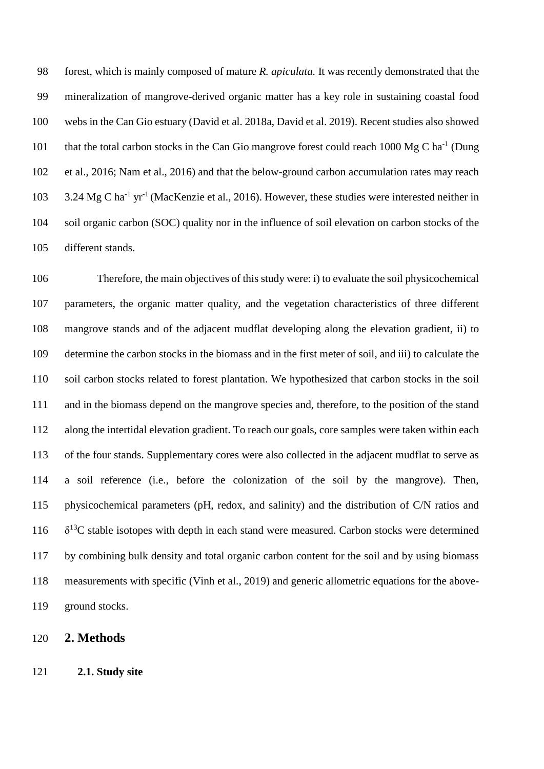forest, which is mainly composed of mature *R. apiculata.* It was recently demonstrated that the mineralization of mangrove-derived organic matter has a key role in sustaining coastal food webs in the Can Gio estuary (David et al. 2018a, David et al. 2019). Recent studies also showed 101 that the total carbon stocks in the Can Gio mangrove forest could reach 1000 Mg C ha<sup>-1</sup> (Dung et al., 2016; Nam et al., 2016) and that the below-ground carbon accumulation rates may reach 103 3.24 Mg C ha<sup>-1</sup> yr<sup>-1</sup> (MacKenzie et al., 2016). However, these studies were interested neither in soil organic carbon (SOC) quality nor in the influence of soil elevation on carbon stocks of the different stands.

 Therefore, the main objectives of this study were: i) to evaluate the soil physicochemical parameters, the organic matter quality, and the vegetation characteristics of three different mangrove stands and of the adjacent mudflat developing along the elevation gradient, ii) to determine the carbon stocks in the biomass and in the first meter of soil, and iii) to calculate the soil carbon stocks related to forest plantation. We hypothesized that carbon stocks in the soil and in the biomass depend on the mangrove species and, therefore, to the position of the stand along the intertidal elevation gradient. To reach our goals, core samples were taken within each of the four stands. Supplementary cores were also collected in the adjacent mudflat to serve as a soil reference (i.e., before the colonization of the soil by the mangrove). Then, physicochemical parameters (pH, redox, and salinity) and the distribution of C/N ratios and  $\delta^{13}$ C stable isotopes with depth in each stand were measured. Carbon stocks were determined by combining bulk density and total organic carbon content for the soil and by using biomass measurements with specific (Vinh et al., 2019) and generic allometric equations for the above-ground stocks.

- **2. Methods**
- **2.1. Study site**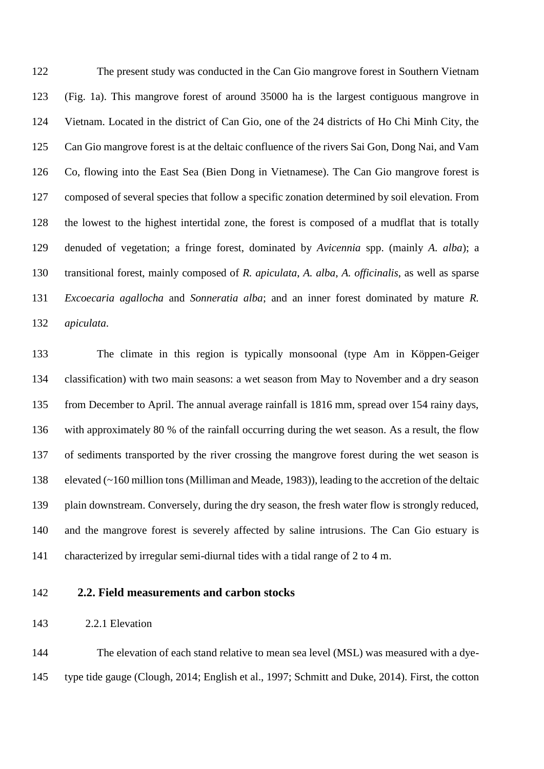The present study was conducted in the Can Gio mangrove forest in Southern Vietnam (Fig. 1a). This mangrove forest of around 35000 ha is the largest contiguous mangrove in Vietnam. Located in the district of Can Gio, one of the 24 districts of Ho Chi Minh City, the Can Gio mangrove forest is at the deltaic confluence of the rivers Sai Gon, Dong Nai, and Vam Co, flowing into the East Sea (Bien Dong in Vietnamese). The Can Gio mangrove forest is composed of several species that follow a specific zonation determined by soil elevation. From the lowest to the highest intertidal zone, the forest is composed of a mudflat that is totally denuded of vegetation; a fringe forest, dominated by *Avicennia* spp. (mainly *A. alba*); a transitional forest, mainly composed of *R. apiculata*, *A. alba*, *A. officinalis*, as well as sparse *Excoecaria agallocha* and *Sonneratia alba*; and an inner forest dominated by mature *R. apiculata*.

 The climate in this region is typically monsoonal (type Am in Köppen-Geiger classification) with two main seasons: a wet season from May to November and a dry season from December to April. The annual average rainfall is 1816 mm, spread over 154 rainy days, with approximately 80 % of the rainfall occurring during the wet season. As a result, the flow of sediments transported by the river crossing the mangrove forest during the wet season is elevated (~160 million tons (Milliman and Meade, 1983)), leading to the accretion of the deltaic plain downstream. Conversely, during the dry season, the fresh water flow is strongly reduced, and the mangrove forest is severely affected by saline intrusions. The Can Gio estuary is characterized by irregular semi-diurnal tides with a tidal range of 2 to 4 m.

## **2.2. Field measurements and carbon stocks**

2.2.1 Elevation

 The elevation of each stand relative to mean sea level (MSL) was measured with a dye-type tide gauge (Clough, 2014; English et al., 1997; Schmitt and Duke, 2014). First, the cotton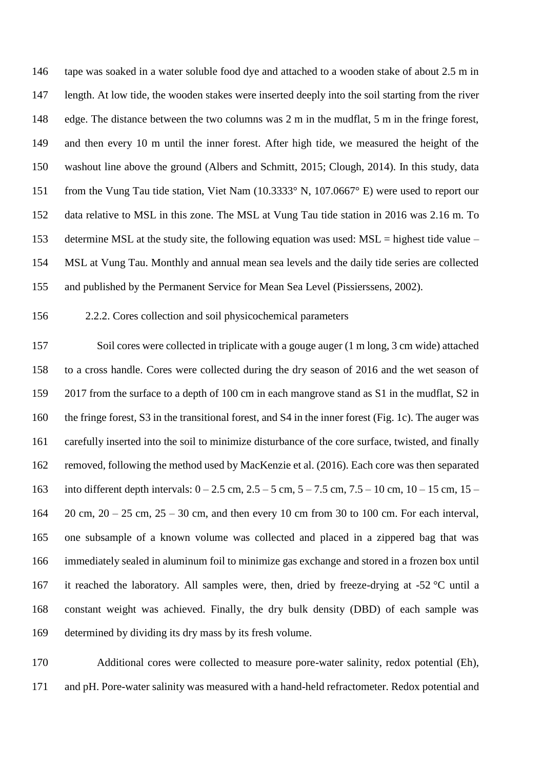tape was soaked in a water soluble food dye and attached to a wooden stake of about 2.5 m in length. At low tide, the wooden stakes were inserted deeply into the soil starting from the river edge. The distance between the two columns was 2 m in the mudflat, 5 m in the fringe forest, and then every 10 m until the inner forest. After high tide, we measured the height of the washout line above the ground (Albers and Schmitt, 2015; Clough, 2014). In this study, data from the Vung Tau tide station, Viet Nam (10.3333° N, 107.0667° E) were used to report our data relative to MSL in this zone. The MSL at Vung Tau tide station in 2016 was 2.16 m. To determine MSL at the study site, the following equation was used: MSL = highest tide value – MSL at Vung Tau. Monthly and annual mean sea levels and the daily tide series are collected and published by the Permanent Service for Mean Sea Level (Pissierssens, 2002).

### 2.2.2. Cores collection and soil physicochemical parameters

 Soil cores were collected in triplicate with a gouge auger (1 m long, 3 cm wide) attached to a cross handle. Cores were collected during the dry season of 2016 and the wet season of 2017 from the surface to a depth of 100 cm in each mangrove stand as S1 in the mudflat, S2 in the fringe forest*,* S3 in the transitional forest, and S4 in the inner forest (Fig. 1c). The auger was carefully inserted into the soil to minimize disturbance of the core surface, twisted, and finally removed, following the method used by MacKenzie et al. (2016). Each core was then separated into different depth intervals: 0 – 2.5 cm, 2.5 – 5 cm, 5 – 7.5 cm, 7.5 – 10 cm, 10 – 15 cm, 15 – 20 cm, 20 – 25 cm, 25 – 30 cm, and then every 10 cm from 30 to 100 cm. For each interval, one subsample of a known volume was collected and placed in a zippered bag that was immediately sealed in aluminum foil to minimize gas exchange and stored in a frozen box until 167 it reached the laboratory. All samples were, then, dried by freeze-drying at -52  $\degree$ C until a constant weight was achieved. Finally, the dry bulk density (DBD) of each sample was determined by dividing its dry mass by its fresh volume.

 Additional cores were collected to measure pore-water salinity, redox potential (Eh), and pH. Pore-water salinity was measured with a hand-held refractometer. Redox potential and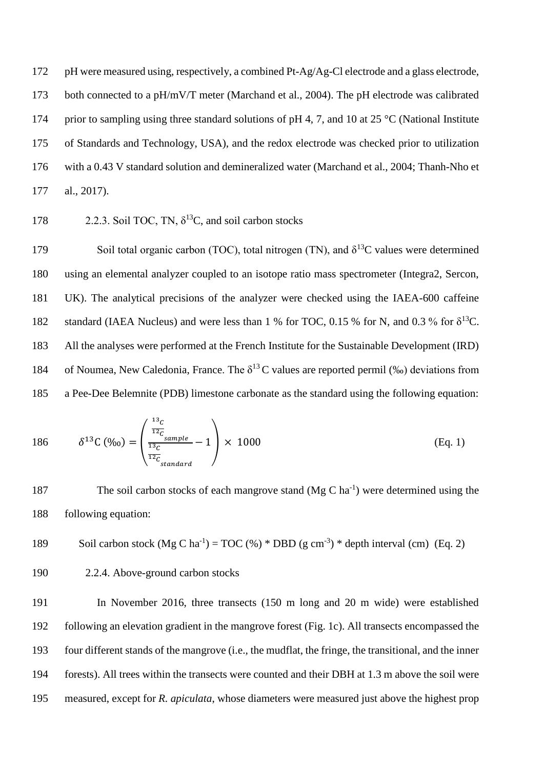pH were measured using, respectively, a combined Pt-Ag/Ag-Cl electrode and a glass electrode, 173 both connected to a pH/mV/T meter (Marchand et al., 2004). The pH electrode was calibrated 174 prior to sampling using three standard solutions of pH 4, 7, and 10 at 25 °C (National Institute of Standards and Technology, USA), and the redox electrode was checked prior to utilization with a 0.43 V standard solution and demineralized water (Marchand et al., 2004; Thanh-Nho et al., 2017).

178 2.2.3. Soil TOC, TN, 
$$
\delta^{13}
$$
C, and soil carbon stocks

179 Soil total organic carbon (TOC), total nitrogen (TN), and  $δ<sup>13</sup>C$  values were determined using an elemental analyzer coupled to an isotope ratio mass spectrometer (Integra2, Sercon, UK). The analytical precisions of the analyzer were checked using the IAEA-600 caffeine 182 standard (IAEA Nucleus) and were less than 1 % for TOC, 0.15 % for N, and 0.3 % for  $\delta^{13}$ C. All the analyses were performed at the French Institute for the Sustainable Development (IRD) 184 of Noumea, New Caledonia, France. The  $\delta^{13}$ C values are reported permil (‰) deviations from a Pee-Dee Belemnite (PDB) limestone carbonate as the standard using the following equation:

186 
$$
\delta^{13} \text{C} (\%_0) = \left( \frac{\frac{^{13}c}{^{12}c}_{sample}}{\frac{^{13}c}{^{12}c}_{standard}} - 1 \right) \times 1000
$$
 (Eq. 1)

187 The soil carbon stocks of each mangrove stand  $(Mg C ha<sup>-1</sup>)$  were determined using the following equation:

189 Soil carbon stock (
$$
Mg C ha^{-1}
$$
) = TOC (%) \* DBD (g cm<sup>-3</sup>) \* depth interval (cm) (Eq. 2)

$$
\overline{a}
$$

### 2.2.4. Above-ground carbon stocks

 In November 2016, three transects (150 m long and 20 m wide) were established following an elevation gradient in the mangrove forest (Fig. 1c). All transects encompassed the four different stands of the mangrove (i.e., the mudflat, the fringe, the transitional, and the inner forests). All trees within the transects were counted and their DBH at 1.3 m above the soil were measured, except for *R. apiculata*, whose diameters were measured just above the highest prop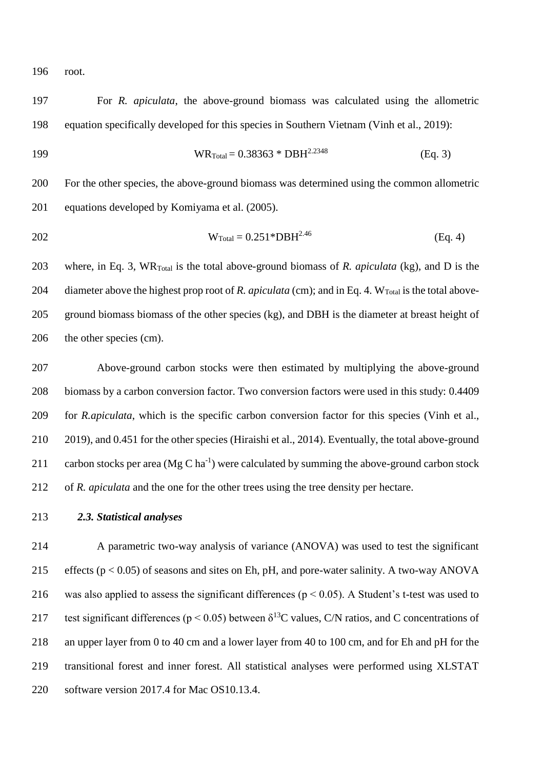root.

 For *R. apiculata*, the above-ground biomass was calculated using the allometric equation specifically developed for this species in Southern Vietnam (Vinh et al., 2019):

$$
W R_{\text{Total}} = 0.38363 * DBH^{2.2348}
$$
 (Eq. 3)

 For the other species, the above-ground biomass was determined using the common allometric equations developed by Komiyama et al. (2005).

$$
W_{\text{Total}} = 0.251 \, \text{*DBH}^{2.46} \tag{Eq. 4}
$$

 where, in Eq. 3, WRTotal is the total above-ground biomass of *R. apiculata* (kg), and D is the 204 diameter above the highest prop root of *R. apiculata* (cm); and in Eq. 4. W<sub>Total</sub> is the total above- ground biomass biomass of the other species (kg), and DBH is the diameter at breast height of the other species (cm).

 Above-ground carbon stocks were then estimated by multiplying the above-ground biomass by a carbon conversion factor. Two conversion factors were used in this study: 0.4409 for *R.apiculata*, which is the specific carbon conversion factor for this species (Vinh et al., 2019), and 0.451 for the other species (Hiraishi et al., 2014). Eventually, the total above-ground 211 carbon stocks per area (Mg C ha<sup>-1</sup>) were calculated by summing the above-ground carbon stock of *R. apiculata* and the one for the other trees using the tree density per hectare.

*2.3. Statistical analyses*

 A parametric two-way analysis of variance (ANOVA) was used to test the significant 215 effects ( $p < 0.05$ ) of seasons and sites on Eh, pH, and pore-water salinity. A two-way ANOVA 216 was also applied to assess the significant differences ( $p < 0.05$ ). A Student's t-test was used to 217 test significant differences ( $p < 0.05$ ) between  $\delta^{13}$ C values, C/N ratios, and C concentrations of an upper layer from 0 to 40 cm and a lower layer from 40 to 100 cm, and for Eh and pH for the transitional forest and inner forest. All statistical analyses were performed using XLSTAT software version 2017.4 for Mac OS10.13.4.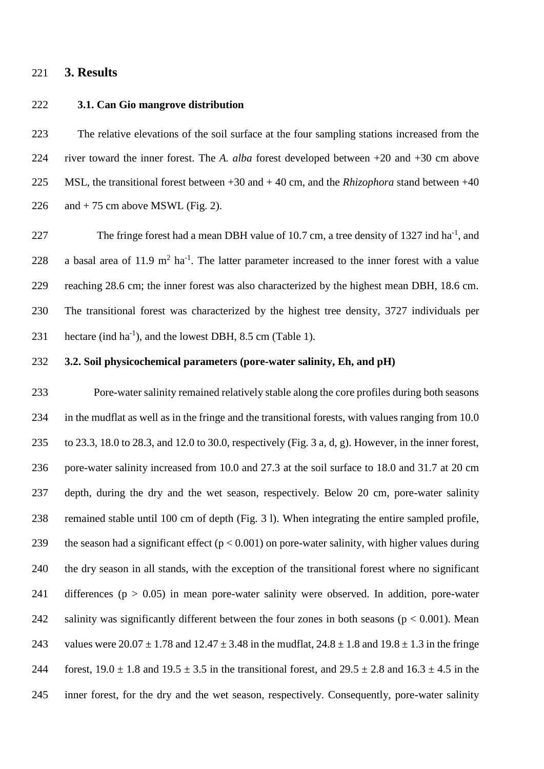#### **3. Results**

#### **3.1. Can Gio mangrove distribution**

 The relative elevations of the soil surface at the four sampling stations increased from the river toward the inner forest. The *A. alba* forest developed between +20 and +30 cm above MSL, the transitional forest between +30 and + 40 cm, and the *Rhizophora* stand between +40 226 and  $+ 75$  cm above MSWL (Fig. 2).

227 The fringe forest had a mean DBH value of 10.7 cm, a tree density of 1327 ind ha<sup>-1</sup>, and 228 a basal area of 11.9  $m^2$  ha<sup>-1</sup>. The latter parameter increased to the inner forest with a value reaching 28.6 cm; the inner forest was also characterized by the highest mean DBH, 18.6 cm. The transitional forest was characterized by the highest tree density, 3727 individuals per 231 hectare (ind  $ha^{-1}$ ), and the lowest DBH, 8.5 cm (Table 1).

#### **3.2. Soil physicochemical parameters (pore-water salinity, Eh, and pH)**

 Pore-water salinity remained relatively stable along the core profiles during both seasons in the mudflat as well as in the fringe and the transitional forests, with values ranging from 10.0 to 23.3, 18.0 to 28.3, and 12.0 to 30.0, respectively (Fig. 3 a, d, g). However, in the inner forest, pore-water salinity increased from 10.0 and 27.3 at the soil surface to 18.0 and 31.7 at 20 cm depth, during the dry and the wet season, respectively. Below 20 cm, pore-water salinity remained stable until 100 cm of depth (Fig. 3 l). When integrating the entire sampled profile, 239 the season had a significant effect  $(p < 0.001)$  on pore-water salinity, with higher values during the dry season in all stands, with the exception of the transitional forest where no significant 241 differences ( $p > 0.05$ ) in mean pore-water salinity were observed. In addition, pore-water 242 salinity was significantly different between the four zones in both seasons ( $p < 0.001$ ). Mean 243 values were  $20.07 \pm 1.78$  and  $12.47 \pm 3.48$  in the mudflat,  $24.8 \pm 1.8$  and  $19.8 \pm 1.3$  in the fringe 244 forest,  $19.0 \pm 1.8$  and  $19.5 \pm 3.5$  in the transitional forest, and  $29.5 \pm 2.8$  and  $16.3 \pm 4.5$  in the inner forest, for the dry and the wet season, respectively. Consequently, pore-water salinity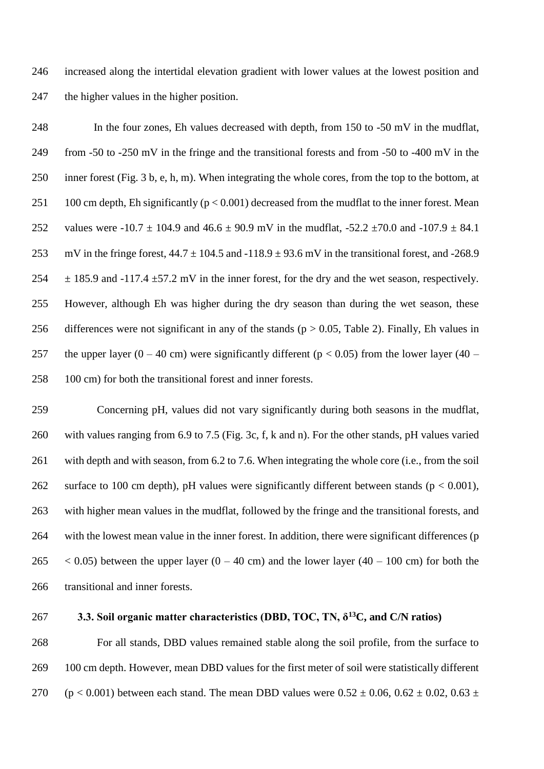246 increased along the intertidal elevation gradient with lower values at the lowest position and 247 the higher values in the higher position.

248 In the four zones, Eh values decreased with depth, from 150 to -50 mV in the mudflat, 249 from -50 to -250 mV in the fringe and the transitional forests and from -50 to -400 mV in the 250 inner forest (Fig. 3 b, e, h, m). When integrating the whole cores, from the top to the bottom, at 251 100 cm depth, Eh significantly ( $p < 0.001$ ) decreased from the mudflat to the inner forest. Mean 252 values were -10.7  $\pm$  104.9 and 46.6  $\pm$  90.9 mV in the mudflat, -52.2  $\pm$ 70.0 and -107.9  $\pm$  84.1 253 mV in the fringe forest,  $44.7 \pm 104.5$  and  $-118.9 \pm 93.6$  mV in the transitional forest, and  $-268.9$ 254  $\pm$  185.9 and -117.4  $\pm$ 57.2 mV in the inner forest, for the dry and the wet season, respectively. 255 However, although Eh was higher during the dry season than during the wet season, these 256 differences were not significant in any of the stands ( $p > 0.05$ , Table 2). Finally, Eh values in 257 the upper layer (0 – 40 cm) were significantly different ( $p < 0.05$ ) from the lower layer (40 – 258 100 cm) for both the transitional forest and inner forests.

 Concerning pH, values did not vary significantly during both seasons in the mudflat, with values ranging from 6.9 to 7.5 (Fig. 3c, f, k and n). For the other stands, pH values varied with depth and with season, from 6.2 to 7.6. When integrating the whole core (i.e., from the soil 262 surface to 100 cm depth), pH values were significantly different between stands ( $p < 0.001$ ), with higher mean values in the mudflat, followed by the fringe and the transitional forests, and with the lowest mean value in the inner forest. In addition, there were significant differences (p  $\leq$  0.05) between the upper layer (0 – 40 cm) and the lower layer (40 – 100 cm) for both the transitional and inner forests.

#### **3.3. Soil organic matter characteristics (DBD, TOC, TN, δ** 267 **<sup>13</sup>C, and C/N ratios)**

268 For all stands, DBD values remained stable along the soil profile, from the surface to 269 100 cm depth. However, mean DBD values for the first meter of soil were statistically different 270 (p < 0.001) between each stand. The mean DBD values were  $0.52 \pm 0.06$ ,  $0.62 \pm 0.02$ ,  $0.63 \pm 0.02$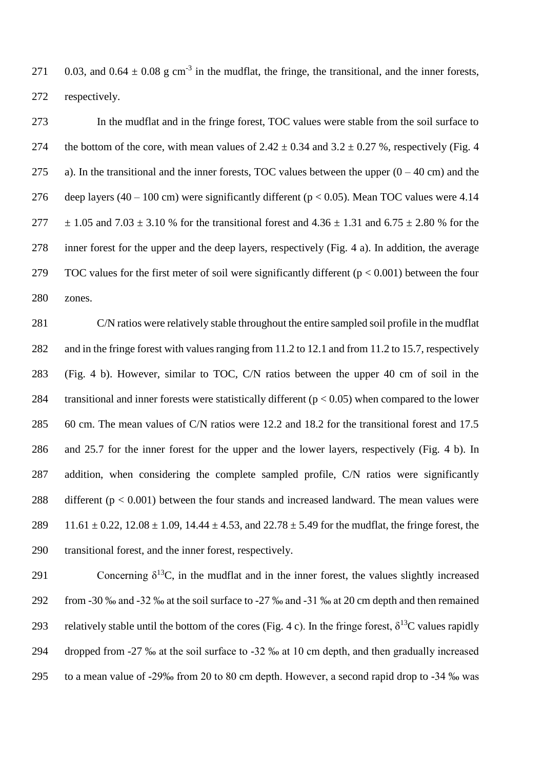271 0.03, and  $0.64 \pm 0.08$  g cm<sup>-3</sup> in the mudflat, the fringe, the transitional, and the inner forests, 272 respectively.

273 In the mudflat and in the fringe forest, TOC values were stable from the soil surface to 274 the bottom of the core, with mean values of  $2.42 \pm 0.34$  and  $3.2 \pm 0.27$  %, respectively (Fig. 4) 275 a). In the transitional and the inner forests, TOC values between the upper  $(0 - 40 \text{ cm})$  and the 276 deep layers  $(40 - 100 \text{ cm})$  were significantly different ( $p < 0.05$ ). Mean TOC values were 4.14 277  $\pm 1.05$  and 7.03  $\pm 3.10$  % for the transitional forest and 4.36  $\pm 1.31$  and 6.75  $\pm 2.80$  % for the 278 inner forest for the upper and the deep layers, respectively (Fig. 4 a). In addition, the average 279 TOC values for the first meter of soil were significantly different  $(p < 0.001)$  between the four 280 zones.

281 C/N ratios were relatively stable throughout the entire sampled soil profile in the mudflat 282 and in the fringe forest with values ranging from 11.2 to 12.1 and from 11.2 to 15.7, respectively 283 (Fig. 4 b). However, similar to TOC, C/N ratios between the upper 40 cm of soil in the 284 transitional and inner forests were statistically different  $(p < 0.05)$  when compared to the lower 285 60 cm. The mean values of C/N ratios were 12.2 and 18.2 for the transitional forest and 17.5 286 and 25.7 for the inner forest for the upper and the lower layers, respectively (Fig. 4 b). In 287 addition, when considering the complete sampled profile, C/N ratios were significantly 288 different  $(p < 0.001)$  between the four stands and increased landward. The mean values were 289 11.61  $\pm$  0.22, 12.08  $\pm$  1.09, 14.44  $\pm$  4.53, and 22.78  $\pm$  5.49 for the mudflat, the fringe forest, the 290 transitional forest, and the inner forest, respectively.

291 Concerning  $\delta^{13}$ C, in the mudflat and in the inner forest, the values slightly increased 292 from -30 ‰ and -32 ‰ at the soil surface to -27 ‰ and -31 ‰ at 20 cm depth and then remained 293 relatively stable until the bottom of the cores (Fig. 4 c). In the fringe forest,  $\delta^{13}$ C values rapidly 294 dropped from -27 ‰ at the soil surface to -32 ‰ at 10 cm depth, and then gradually increased 295 to a mean value of -29‰ from 20 to 80 cm depth. However, a second rapid drop to -34 ‰ was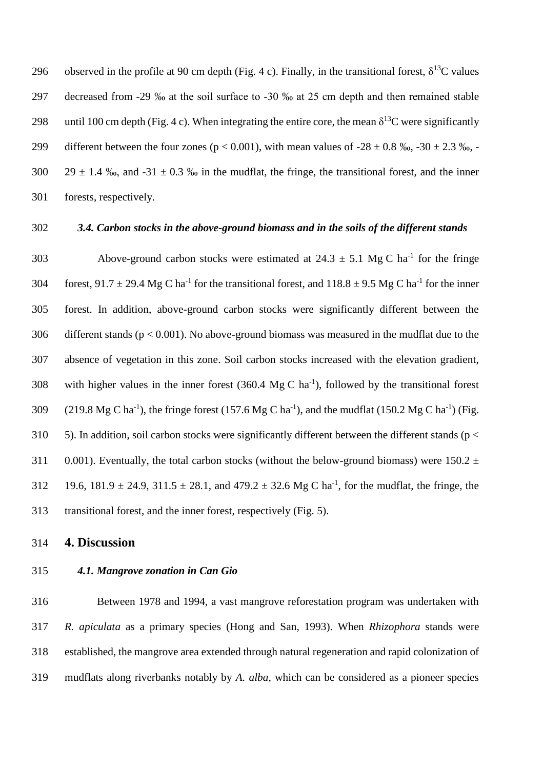296 observed in the profile at 90 cm depth (Fig. 4 c). Finally, in the transitional forest,  $\delta^{13}$ C values 297 decreased from -29 ‰ at the soil surface to -30 ‰ at 25 cm depth and then remained stable 298 until 100 cm depth (Fig. 4 c). When integrating the entire core, the mean  $\delta^{13}$ C were significantly 299 different between the four zones ( $p < 0.001$ ), with mean values of  $-28 \pm 0.8$  ‰,  $-30 \pm 2.3$  ‰,  $-$ 300 29  $\pm$  1.4 ‰, and -31  $\pm$  0.3 ‰ in the mudflat, the fringe, the transitional forest, and the inner 301 forests, respectively.

## 302 *3.4. Carbon stocks in the above-ground biomass and in the soils of the different stands*

303 Above-ground carbon stocks were estimated at  $24.3 \pm 5.1$  Mg C ha<sup>-1</sup> for the fringe 304 forest,  $91.7 \pm 29.4$  Mg C ha<sup>-1</sup> for the transitional forest, and  $118.8 \pm 9.5$  Mg C ha<sup>-1</sup> for the inner 305 forest. In addition, above-ground carbon stocks were significantly different between the 306 different stands ( $p < 0.001$ ). No above-ground biomass was measured in the mudflat due to the 307 absence of vegetation in this zone. Soil carbon stocks increased with the elevation gradient, 308 with higher values in the inner forest  $(360.4 \text{ Mg C ha}^{-1})$ , followed by the transitional forest 309 (219.8 Mg C ha<sup>-1</sup>), the fringe forest (157.6 Mg C ha<sup>-1</sup>), and the mudflat (150.2 Mg C ha<sup>-1</sup>) (Fig. 310 5). In addition, soil carbon stocks were significantly different between the different stands ( $p <$ 311 0.001). Eventually, the total carbon stocks (without the below-ground biomass) were  $150.2 \pm 10^{-10}$ 312 19.6,  $181.9 \pm 24.9$ ,  $311.5 \pm 28.1$ , and  $479.2 \pm 32.6$  Mg C ha<sup>-1</sup>, for the mudflat, the fringe, the 313 transitional forest, and the inner forest, respectively (Fig. 5).

314 **4. Discussion**

#### 315 *4.1. Mangrove zonation in Can Gio*

 Between 1978 and 1994, a vast mangrove reforestation program was undertaken with *R. apiculata* as a primary species (Hong and San, 1993). When *Rhizophora* stands were established, the mangrove area extended through natural regeneration and rapid colonization of mudflats along riverbanks notably by *A. alba*, which can be considered as a pioneer species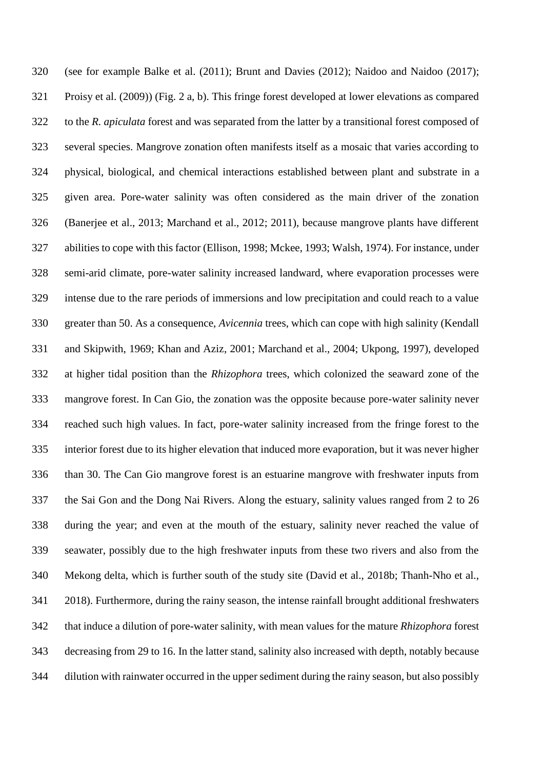(see for example Balke et al. (2011); Brunt and Davies (2012); Naidoo and Naidoo (2017); Proisy et al. (2009)) (Fig. 2 a, b). This fringe forest developed at lower elevations as compared to the *R. apiculata* forest and was separated from the latter by a transitional forest composed of several species. Mangrove zonation often manifests itself as a mosaic that varies according to physical, biological, and chemical interactions established between plant and substrate in a given area. Pore-water salinity was often considered as the main driver of the zonation (Banerjee et al., 2013; Marchand et al., 2012; 2011), because mangrove plants have different abilities to cope with this factor (Ellison, 1998; Mckee, 1993; Walsh, 1974). For instance, under semi-arid climate, pore-water salinity increased landward, where evaporation processes were intense due to the rare periods of immersions and low precipitation and could reach to a value greater than 50. As a consequence, *Avicennia* trees, which can cope with high salinity (Kendall and Skipwith, 1969; Khan and Aziz, 2001; Marchand et al., 2004; Ukpong, 1997), developed at higher tidal position than the *Rhizophora* trees, which colonized the seaward zone of the mangrove forest. In Can Gio, the zonation was the opposite because pore-water salinity never reached such high values. In fact, pore-water salinity increased from the fringe forest to the interior forest due to its higher elevation that induced more evaporation, but it was never higher than 30. The Can Gio mangrove forest is an estuarine mangrove with freshwater inputs from the Sai Gon and the Dong Nai Rivers. Along the estuary, salinity values ranged from 2 to 26 during the year; and even at the mouth of the estuary, salinity never reached the value of seawater, possibly due to the high freshwater inputs from these two rivers and also from the Mekong delta, which is further south of the study site (David et al., 2018b; Thanh-Nho et al., 2018). Furthermore, during the rainy season, the intense rainfall brought additional freshwaters that induce a dilution of pore-water salinity, with mean values for the mature *Rhizophora* forest decreasing from 29 to 16. In the latter stand, salinity also increased with depth, notably because dilution with rainwater occurred in the upper sediment during the rainy season, but also possibly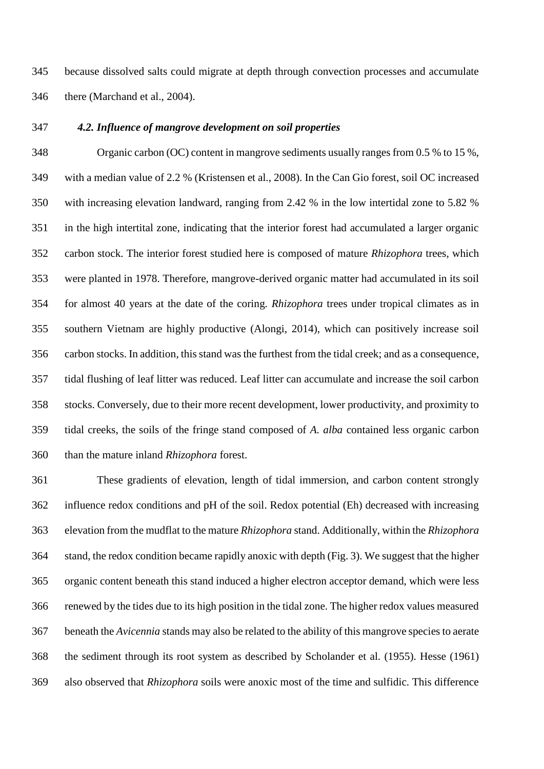because dissolved salts could migrate at depth through convection processes and accumulate there (Marchand et al., 2004).

#### *4.2. Influence of mangrove development on soil properties*

 Organic carbon (OC) content in mangrove sediments usually ranges from 0.5 % to 15 %, with a median value of 2.2 % (Kristensen et al., 2008). In the Can Gio forest, soil OC increased with increasing elevation landward, ranging from 2.42 % in the low intertidal zone to 5.82 % in the high intertital zone, indicating that the interior forest had accumulated a larger organic carbon stock. The interior forest studied here is composed of mature *Rhizophora* trees, which were planted in 1978. Therefore, mangrove-derived organic matter had accumulated in its soil for almost 40 years at the date of the coring. *Rhizophora* trees under tropical climates as in southern Vietnam are highly productive (Alongi, 2014), which can positively increase soil carbon stocks. In addition, this stand was the furthest from the tidal creek; and as a consequence, tidal flushing of leaf litter was reduced. Leaf litter can accumulate and increase the soil carbon stocks. Conversely, due to their more recent development, lower productivity, and proximity to tidal creeks, the soils of the fringe stand composed of *A. alba* contained less organic carbon than the mature inland *Rhizophora* forest.

 These gradients of elevation, length of tidal immersion, and carbon content strongly influence redox conditions and pH of the soil. Redox potential (Eh) decreased with increasing elevation from the mudflat to the mature *Rhizophora* stand. Additionally, within the *Rhizophora* stand, the redox condition became rapidly anoxic with depth (Fig. 3). We suggest that the higher organic content beneath this stand induced a higher electron acceptor demand, which were less renewed by the tides due to its high position in the tidal zone. The higher redox values measured beneath the *Avicennia* stands may also be related to the ability of this mangrove species to aerate the sediment through its root system as described by Scholander et al. (1955). Hesse (1961) also observed that *Rhizophora* soils were anoxic most of the time and sulfidic. This difference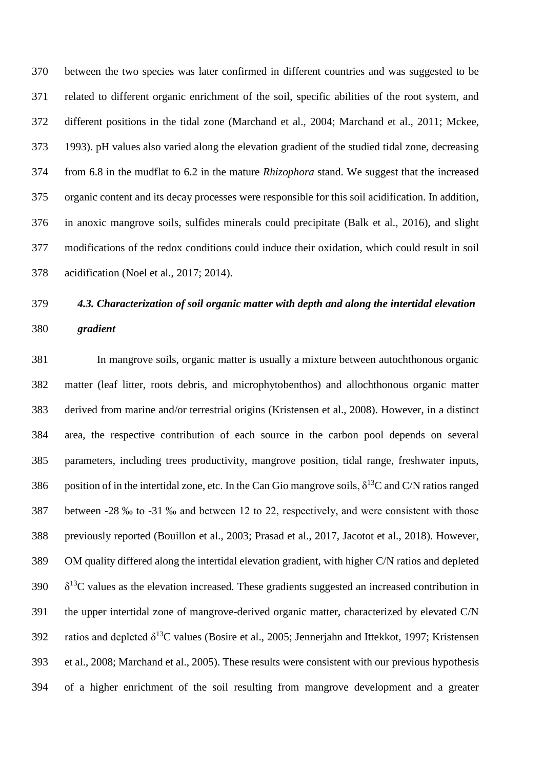between the two species was later confirmed in different countries and was suggested to be related to different organic enrichment of the soil, specific abilities of the root system, and different positions in the tidal zone (Marchand et al., 2004; Marchand et al., 2011; Mckee, 1993). pH values also varied along the elevation gradient of the studied tidal zone, decreasing from 6.8 in the mudflat to 6.2 in the mature *Rhizophora* stand. We suggest that the increased organic content and its decay processes were responsible for this soil acidification. In addition, in anoxic mangrove soils, sulfides minerals could precipitate (Balk et al., 2016), and slight modifications of the redox conditions could induce their oxidation, which could result in soil acidification (Noel et al., 2017; 2014).

# *4.3. Characterization of soil organic matter with depth and along the intertidal elevation gradient*

 In mangrove soils, organic matter is usually a mixture between autochthonous organic matter (leaf litter, roots debris, and microphytobenthos) and allochthonous organic matter derived from marine and/or terrestrial origins (Kristensen et al., 2008). However, in a distinct area, the respective contribution of each source in the carbon pool depends on several parameters, including trees productivity, mangrove position, tidal range, freshwater inputs, 386 position of in the intertidal zone, etc. In the Can Gio mangrove soils,  $\delta^{13}$ C and C/N ratios ranged between -28 ‰ to -31 ‰ and between 12 to 22, respectively, and were consistent with those previously reported (Bouillon et al., 2003; Prasad et al., 2017, Jacotot et al., 2018). However, OM quality differed along the intertidal elevation gradient, with higher C/N ratios and depleted  $390 \delta^{13}$ C values as the elevation increased. These gradients suggested an increased contribution in the upper intertidal zone of mangrove-derived organic matter, characterized by elevated C/N 392 ratios and depleted  $\delta^{13}$ C values (Bosire et al., 2005; Jennerjahn and Ittekkot, 1997; Kristensen et al., 2008; Marchand et al., 2005). These results were consistent with our previous hypothesis of a higher enrichment of the soil resulting from mangrove development and a greater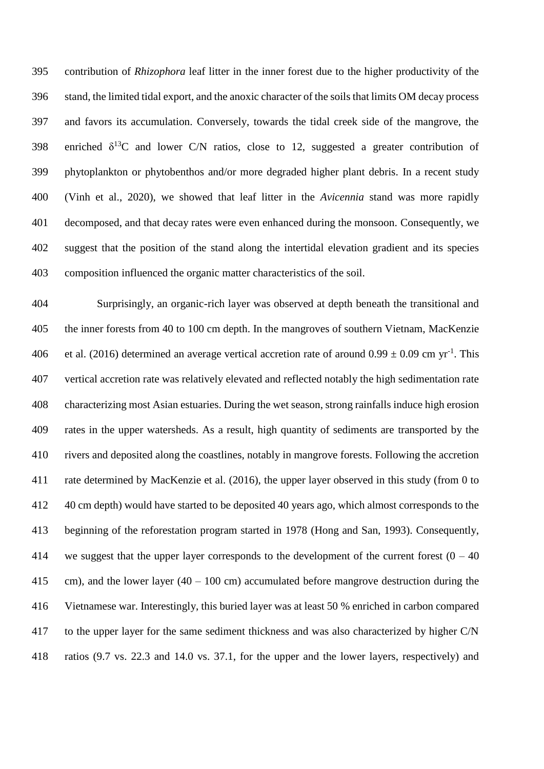contribution of *Rhizophora* leaf litter in the inner forest due to the higher productivity of the stand, the limited tidal export, and the anoxic character of the soils that limits OM decay process and favors its accumulation. Conversely, towards the tidal creek side of the mangrove, the 398 enriched  $\delta^{13}C$  and lower C/N ratios, close to 12, suggested a greater contribution of phytoplankton or phytobenthos and/or more degraded higher plant debris. In a recent study (Vinh et al., 2020), we showed that leaf litter in the *Avicennia* stand was more rapidly decomposed, and that decay rates were even enhanced during the monsoon. Consequently, we suggest that the position of the stand along the intertidal elevation gradient and its species composition influenced the organic matter characteristics of the soil.

 Surprisingly, an organic-rich layer was observed at depth beneath the transitional and the inner forests from 40 to 100 cm depth. In the mangroves of southern Vietnam, MacKenzie 406 et al. (2016) determined an average vertical accretion rate of around  $0.99 \pm 0.09$  cm yr<sup>-1</sup>. This vertical accretion rate was relatively elevated and reflected notably the high sedimentation rate characterizing most Asian estuaries. During the wet season, strong rainfalls induce high erosion rates in the upper watersheds. As a result, high quantity of sediments are transported by the rivers and deposited along the coastlines, notably in mangrove forests. Following the accretion rate determined by MacKenzie et al. (2016), the upper layer observed in this study (from 0 to 40 cm depth) would have started to be deposited 40 years ago, which almost corresponds to the beginning of the reforestation program started in 1978 (Hong and San, 1993). Consequently, 414 we suggest that the upper layer corresponds to the development of the current forest  $(0 - 40)$ 415 cm), and the lower layer (40 – 100 cm) accumulated before mangrove destruction during the Vietnamese war. Interestingly, this buried layer was at least 50 % enriched in carbon compared to the upper layer for the same sediment thickness and was also characterized by higher C/N ratios (9.7 vs. 22.3 and 14.0 vs. 37.1, for the upper and the lower layers, respectively) and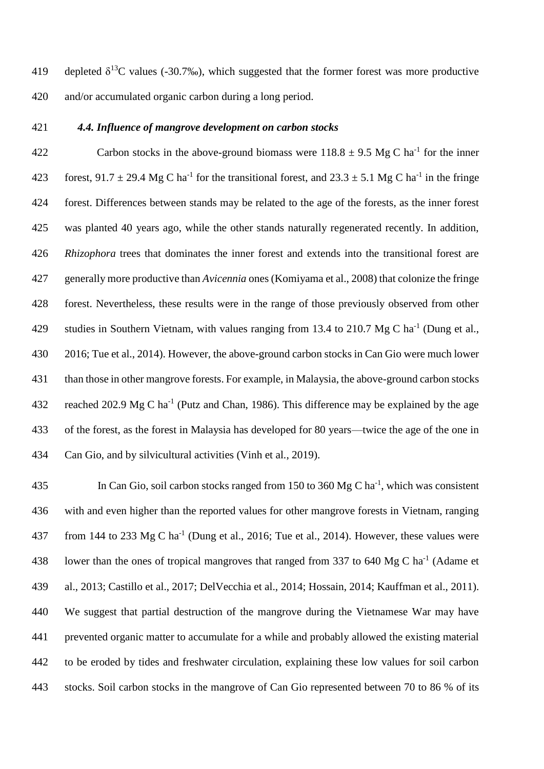419 depleted  $\delta^{13}$ C values (-30.7‰), which suggested that the former forest was more productive and/or accumulated organic carbon during a long period.

#### *4.4. Influence of mangrove development on carbon stocks*

422 Carbon stocks in the above-ground biomass were  $118.8 \pm 9.5$  Mg C ha<sup>-1</sup> for the inner 423 forest, 91.7  $\pm$  29.4 Mg C ha<sup>-1</sup> for the transitional forest, and 23.3  $\pm$  5.1 Mg C ha<sup>-1</sup> in the fringe forest. Differences between stands may be related to the age of the forests, as the inner forest was planted 40 years ago, while the other stands naturally regenerated recently. In addition, *Rhizophora* trees that dominates the inner forest and extends into the transitional forest are generally more productive than *Avicennia* ones (Komiyama et al., 2008) that colonize the fringe forest. Nevertheless, these results were in the range of those previously observed from other 429 studies in Southern Vietnam, with values ranging from 13.4 to 210.7 Mg C ha<sup>-1</sup> (Dung et al., 2016; Tue et al., 2014). However, the above-ground carbon stocks in Can Gio were much lower than those in other mangrove forests. For example, in Malaysia, the above-ground carbon stocks 432 reached 202.9 Mg C ha<sup>-1</sup> (Putz and Chan, 1986). This difference may be explained by the age of the forest, as the forest in Malaysia has developed for 80 years—twice the age of the one in Can Gio, and by silvicultural activities (Vinh et al., 2019).

435 In Can Gio, soil carbon stocks ranged from 150 to 360 Mg C ha<sup>-1</sup>, which was consistent with and even higher than the reported values for other mangrove forests in Vietnam, ranging 437 from 144 to 233 Mg C ha<sup>-1</sup> (Dung et al., 2016; Tue et al., 2014). However, these values were 438 lower than the ones of tropical mangroves that ranged from 337 to 640 Mg C ha<sup>-1</sup> (Adame et al., 2013; Castillo et al., 2017; DelVecchia et al., 2014; Hossain, 2014; Kauffman et al., 2011). We suggest that partial destruction of the mangrove during the Vietnamese War may have prevented organic matter to accumulate for a while and probably allowed the existing material to be eroded by tides and freshwater circulation, explaining these low values for soil carbon stocks. Soil carbon stocks in the mangrove of Can Gio represented between 70 to 86 % of its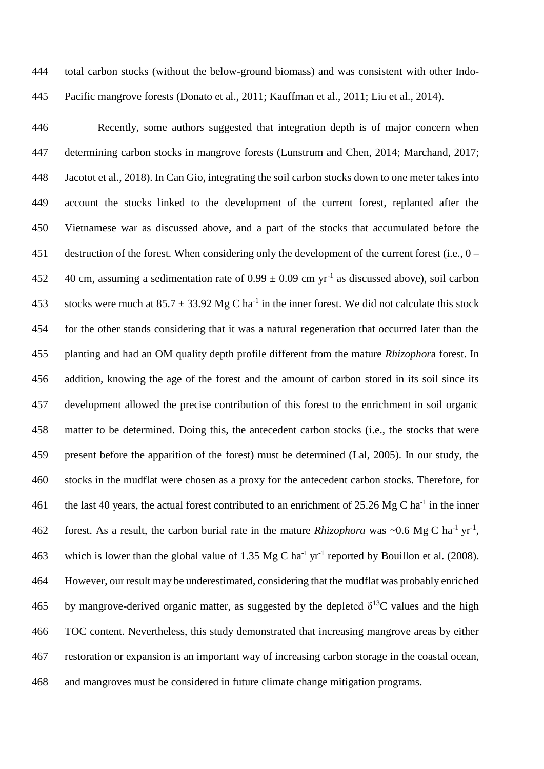total carbon stocks (without the below-ground biomass) and was consistent with other Indo-Pacific mangrove forests (Donato et al., 2011; Kauffman et al., 2011; Liu et al., 2014).

 Recently, some authors suggested that integration depth is of major concern when determining carbon stocks in mangrove forests (Lunstrum and Chen, 2014; Marchand, 2017; Jacotot et al., 2018). In Can Gio, integrating the soil carbon stocks down to one meter takes into account the stocks linked to the development of the current forest, replanted after the Vietnamese war as discussed above, and a part of the stocks that accumulated before the destruction of the forest. When considering only the development of the current forest (i.e., 0 – 452 40 cm, assuming a sedimentation rate of  $0.99 \pm 0.09$  cm yr<sup>-1</sup> as discussed above), soil carbon 453 stocks were much at  $85.7 \pm 33.92$  Mg C ha<sup>-1</sup> in the inner forest. We did not calculate this stock for the other stands considering that it was a natural regeneration that occurred later than the planting and had an OM quality depth profile different from the mature *Rhizophor*a forest. In addition, knowing the age of the forest and the amount of carbon stored in its soil since its development allowed the precise contribution of this forest to the enrichment in soil organic matter to be determined. Doing this, the antecedent carbon stocks (i.e., the stocks that were present before the apparition of the forest) must be determined (Lal, 2005). In our study, the stocks in the mudflat were chosen as a proxy for the antecedent carbon stocks. Therefore, for 461 the last 40 years, the actual forest contributed to an enrichment of 25.26 Mg C ha<sup>-1</sup> in the inner forest. As a result, the carbon burial rate in the mature *Rhizophora* was ~0.6 Mg C ha<sup>-1</sup> yr<sup>-1</sup>, 463 which is lower than the global value of 1.35 Mg C ha<sup>-1</sup> yr<sup>-1</sup> reported by Bouillon et al. (2008). However, our result may be underestimated, considering that the mudflat was probably enriched 465 by mangrove-derived organic matter, as suggested by the depleted  $\delta^{13}$ C values and the high TOC content. Nevertheless, this study demonstrated that increasing mangrove areas by either restoration or expansion is an important way of increasing carbon storage in the coastal ocean, and mangroves must be considered in future climate change mitigation programs.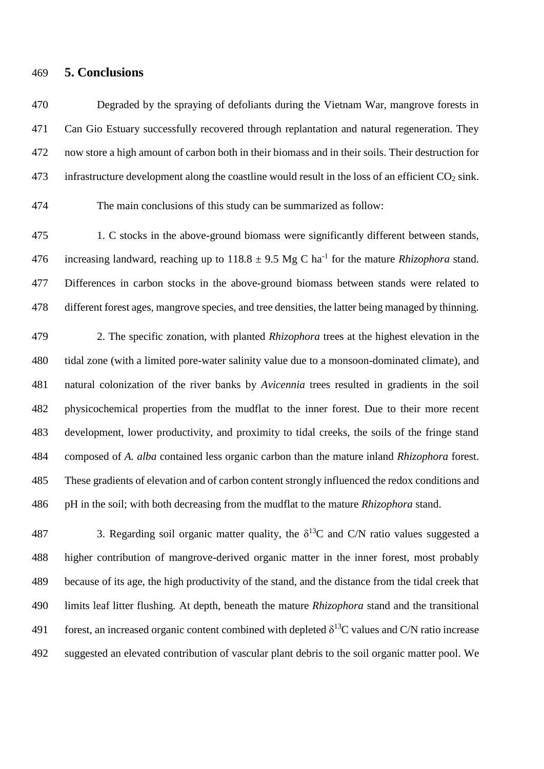#### **5. Conclusions**

 Degraded by the spraying of defoliants during the Vietnam War, mangrove forests in Can Gio Estuary successfully recovered through replantation and natural regeneration. They now store a high amount of carbon both in their biomass and in their soils. Their destruction for 473 infrastructure development along the coastline would result in the loss of an efficient  $CO<sub>2</sub>$  sink.

The main conclusions of this study can be summarized as follow:

475 1. C stocks in the above-ground biomass were significantly different between stands, 476 increasing landward, reaching up to  $118.8 \pm 9.5$  Mg C ha<sup>-1</sup> for the mature *Rhizophora* stand. Differences in carbon stocks in the above-ground biomass between stands were related to different forest ages, mangrove species, and tree densities, the latter being managed by thinning.

 2. The specific zonation, with planted *Rhizophora* trees at the highest elevation in the tidal zone (with a limited pore-water salinity value due to a monsoon-dominated climate), and natural colonization of the river banks by *Avicennia* trees resulted in gradients in the soil physicochemical properties from the mudflat to the inner forest. Due to their more recent development, lower productivity, and proximity to tidal creeks, the soils of the fringe stand composed of *A. alba* contained less organic carbon than the mature inland *Rhizophora* forest. These gradients of elevation and of carbon content strongly influenced the redox conditions and pH in the soil; with both decreasing from the mudflat to the mature *Rhizophora* stand.

487 3. Regarding soil organic matter quality, the  $\delta^{13}$ C and C/N ratio values suggested a higher contribution of mangrove-derived organic matter in the inner forest, most probably because of its age, the high productivity of the stand, and the distance from the tidal creek that limits leaf litter flushing. At depth, beneath the mature *Rhizophora* stand and the transitional 491 forest, an increased organic content combined with depleted  $\delta^{13}$ C values and C/N ratio increase suggested an elevated contribution of vascular plant debris to the soil organic matter pool. We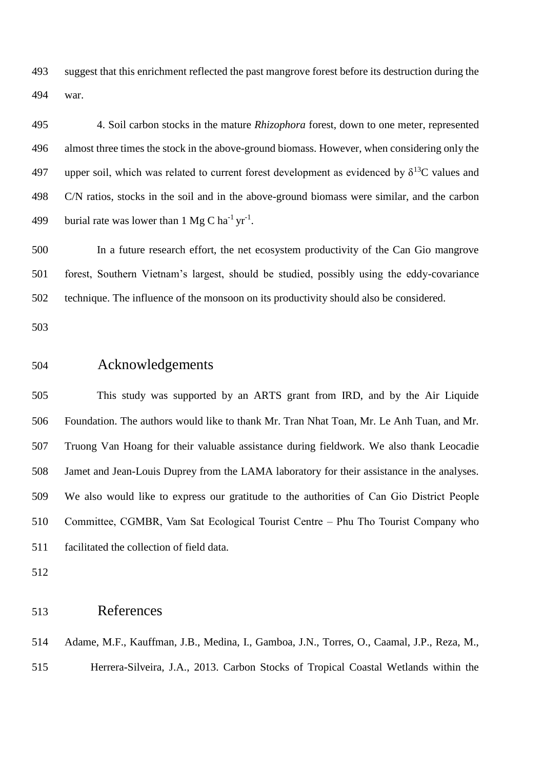suggest that this enrichment reflected the past mangrove forest before its destruction during the war.

 4. Soil carbon stocks in the mature *Rhizophora* forest, down to one meter, represented almost three times the stock in the above-ground biomass. However, when considering only the 497 upper soil, which was related to current forest development as evidenced by  $\delta^{13}$ C values and C/N ratios, stocks in the soil and in the above-ground biomass were similar, and the carbon 499 burial rate was lower than  $1 \text{ Mg C} \text{ ha}^{-1} \text{ yr}^{-1}$ .

 In a future research effort, the net ecosystem productivity of the Can Gio mangrove forest, Southern Vietnam's largest, should be studied, possibly using the eddy-covariance technique. The influence of the monsoon on its productivity should also be considered.

## Acknowledgements

 This study was supported by an ARTS grant from IRD, and by the Air Liquide Foundation. The authors would like to thank Mr. Tran Nhat Toan, Mr. Le Anh Tuan, and Mr. Truong Van Hoang for their valuable assistance during fieldwork. We also thank Leocadie Jamet and Jean-Louis Duprey from the LAMA laboratory for their assistance in the analyses. We also would like to express our gratitude to the authorities of Can Gio District People Committee, CGMBR, Vam Sat Ecological Tourist Centre – Phu Tho Tourist Company who facilitated the collection of field data.

# References

 Adame, M.F., Kauffman, J.B., Medina, I., Gamboa, J.N., Torres, O., Caamal, J.P., Reza, M., Herrera-Silveira, J.A., 2013. Carbon Stocks of Tropical Coastal Wetlands within the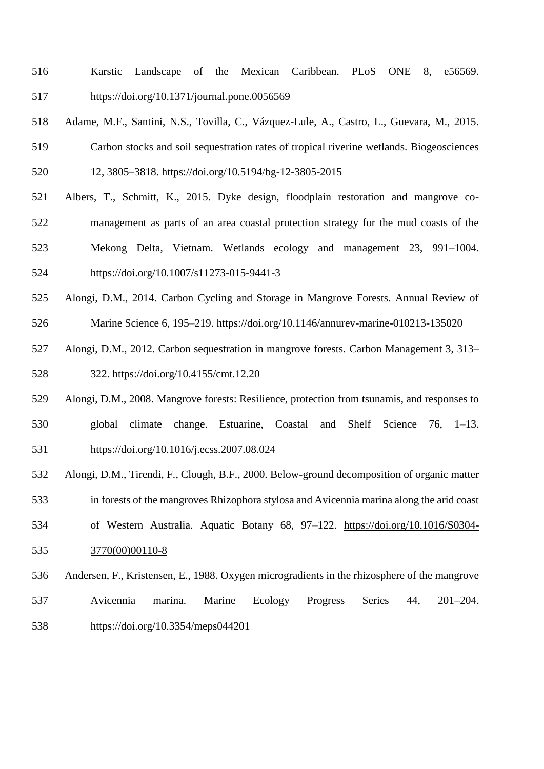- Karstic Landscape of the Mexican Caribbean. PLoS ONE 8, e56569. https://doi.org/10.1371/journal.pone.0056569
- Adame, M.F., Santini, N.S., Tovilla, C., Vázquez-Lule, A., Castro, L., Guevara, M., 2015. Carbon stocks and soil sequestration rates of tropical riverine wetlands. Biogeosciences 12, 3805–3818. https://doi.org/10.5194/bg-12-3805-2015
- Albers, T., Schmitt, K., 2015. Dyke design, floodplain restoration and mangrove co- management as parts of an area coastal protection strategy for the mud coasts of the Mekong Delta, Vietnam. Wetlands ecology and management 23, 991–1004. <https://doi.org/10.1007/s11273-015-9441-3>
- Alongi, D.M., 2014. Carbon Cycling and Storage in Mangrove Forests. Annual Review of Marine Science 6, 195–219. https://doi.org/10.1146/annurev-marine-010213-135020
- Alongi, D.M., 2012. Carbon sequestration in mangrove forests. Carbon Management 3, 313– 322. https://doi.org/10.4155/cmt.12.20
- Alongi, D.M., 2008. Mangrove forests: Resilience, protection from tsunamis, and responses to
- global climate change. Estuarine, Coastal and Shelf Science 76, 1–13. https://doi.org/10.1016/j.ecss.2007.08.024
- Alongi, D.M., Tirendi, F., Clough, B.F., 2000. Below-ground decomposition of organic matter
- in forests of the mangroves Rhizophora stylosa and Avicennia marina along the arid coast
- of Western Australia. Aquatic Botany 68, 97–122. [https://doi.org/10.1016/S0304-](https://doi.org/10.1016/S0304-3770(00)00110-8) [3770\(00\)00110-8](https://doi.org/10.1016/S0304-3770(00)00110-8)
- Andersen, F., Kristensen, E., 1988. Oxygen microgradients in the rhizosphere of the mangrove Avicennia marina. Marine Ecology Progress Series 44, 201–204. https://doi.org/10.3354/meps044201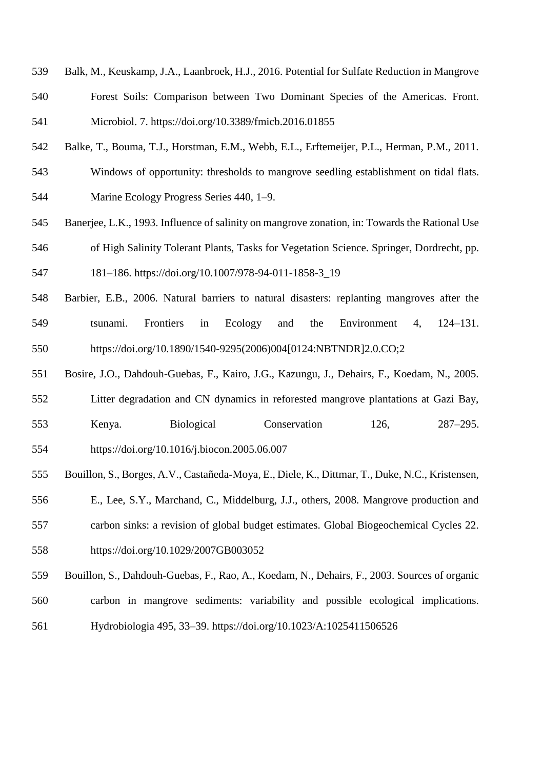- Balk, M., Keuskamp, J.A., Laanbroek, H.J., 2016. Potential for Sulfate Reduction in Mangrove Forest Soils: Comparison between Two Dominant Species of the Americas. Front. Microbiol. 7. https://doi.org/10.3389/fmicb.2016.01855
- Balke, T., Bouma, T.J., Horstman, E.M., Webb, E.L., Erftemeijer, P.L., Herman, P.M., 2011.

 Windows of opportunity: thresholds to mangrove seedling establishment on tidal flats. Marine Ecology Progress Series 440, 1–9.

- Banerjee, L.K., 1993. Influence of salinity on mangrove zonation, in: Towards the Rational Use of High Salinity Tolerant Plants, Tasks for Vegetation Science. Springer, Dordrecht, pp.
- 181–186. https://doi.org/10.1007/978-94-011-1858-3\_19
- Barbier, E.B., 2006. Natural barriers to natural disasters: replanting mangroves after the tsunami. Frontiers in Ecology and the Environment 4, 124–131. https://doi.org/10.1890/1540-9295(2006)004[0124:NBTNDR]2.0.CO;2
- Bosire, J.O., Dahdouh-Guebas, F., Kairo, J.G., Kazungu, J., Dehairs, F., Koedam, N., 2005.
- Litter degradation and CN dynamics in reforested mangrove plantations at Gazi Bay, Kenya. Biological Conservation 126, 287–295.

https://doi.org/10.1016/j.biocon.2005.06.007

- Bouillon, S., Borges, A.V., Castañeda-Moya, E., Diele, K., Dittmar, T., Duke, N.C., Kristensen,
- E., Lee, S.Y., Marchand, C., Middelburg, J.J., others, 2008. Mangrove production and
- carbon sinks: a revision of global budget estimates. Global Biogeochemical Cycles 22.
- <https://doi.org/10.1029/2007GB003052>
- Bouillon, S., Dahdouh-Guebas, F., Rao, A., Koedam, N., Dehairs, F., 2003. Sources of organic
- carbon in mangrove sediments: variability and possible ecological implications.
- Hydrobiologia 495, 33–39. <https://doi.org/10.1023/A:1025411506526>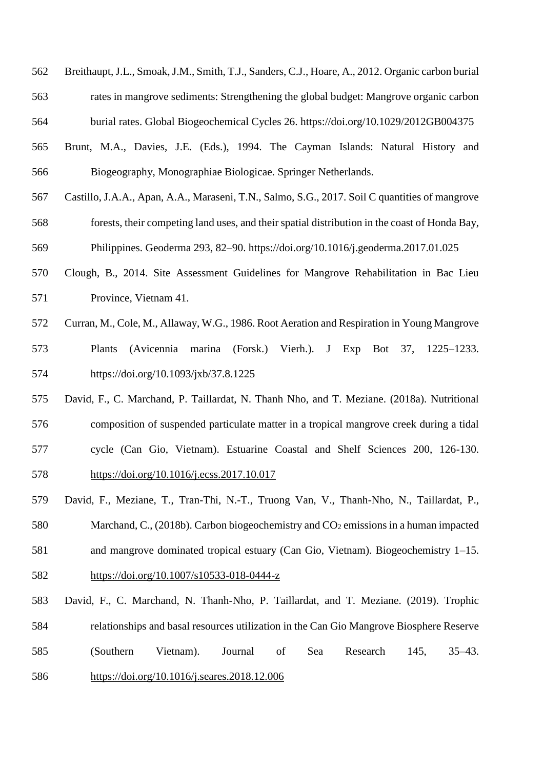- Breithaupt, J.L., Smoak, J.M., Smith, T.J., Sanders, C.J., Hoare, A., 2012. Organic carbon burial rates in mangrove sediments: Strengthening the global budget: Mangrove organic carbon burial rates. Global Biogeochemical Cycles 26. https://doi.org/10.1029/2012GB004375
- Brunt, M.A., Davies, J.E. (Eds.), 1994. The Cayman Islands: Natural History and Biogeography, Monographiae Biologicae. Springer Netherlands.
- Castillo, J.A.A., Apan, A.A., Maraseni, T.N., Salmo, S.G., 2017. Soil C quantities of mangrove forests, their competing land uses, and their spatial distribution in the coast of Honda Bay, Philippines. Geoderma 293, 82–90. https://doi.org/10.1016/j.geoderma.2017.01.025
- Clough, B., 2014. Site Assessment Guidelines for Mangrove Rehabilitation in Bac Lieu Province, Vietnam 41.
- Curran, M., Cole, M., Allaway, W.G., 1986. Root Aeration and Respiration in Young Mangrove Plants (Avicennia marina (Forsk.) Vierh.). J Exp Bot 37, 1225–1233. https://doi.org/10.1093/jxb/37.8.1225
- David, F., C. Marchand, P. Taillardat, N. Thanh Nho, and T. Meziane. (2018a). Nutritional composition of suspended particulate matter in a tropical mangrove creek during a tidal cycle (Can Gio, Vietnam). Estuarine Coastal and Shelf Sciences 200, 126-130.
- <https://doi.org/10.1016/j.ecss.2017.10.017>
- David, F., Meziane, T., Tran-Thi, N.-T., Truong Van, V., Thanh-Nho, N., Taillardat, P.,
- 580 Marchand, C., (2018b). Carbon biogeochemistry and  $CO<sub>2</sub>$  emissions in a human impacted
- and mangrove dominated tropical estuary (Can Gio, Vietnam). Biogeochemistry 1–15.
- <https://doi.org/10.1007/s10533-018-0444-z>
- David, F., C. Marchand, N. Thanh-Nho, P. Taillardat, and T. Meziane. (2019). Trophic relationships and basal resources utilization in the Can Gio Mangrove Biosphere Reserve (Southern Vietnam). Journal of Sea Research 145, 35–43.
- <https://doi.org/10.1016/j.seares.2018.12.006>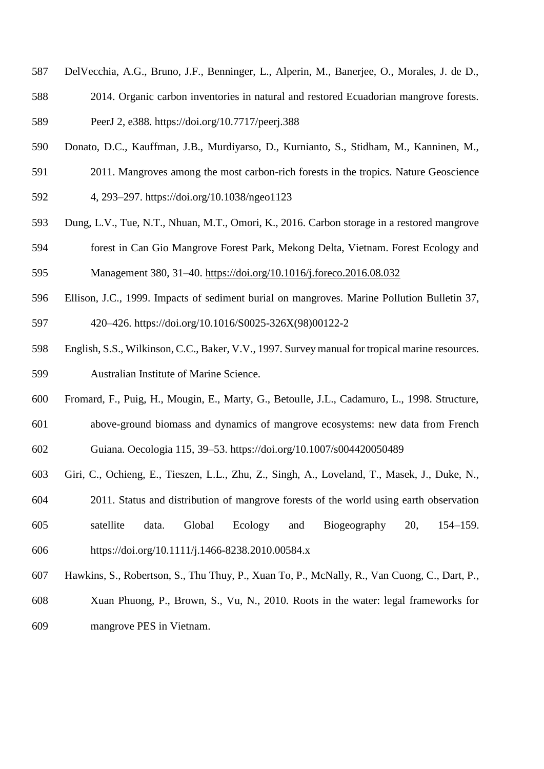- DelVecchia, A.G., Bruno, J.F., Benninger, L., Alperin, M., Banerjee, O., Morales, J. de D.,
- 2014. Organic carbon inventories in natural and restored Ecuadorian mangrove forests. PeerJ 2, e388. https://doi.org/10.7717/peerj.388
- Donato, D.C., Kauffman, J.B., Murdiyarso, D., Kurnianto, S., Stidham, M., Kanninen, M.,
- 2011. Mangroves among the most carbon-rich forests in the tropics. Nature Geoscience
- 4, 293–297. https://doi.org/10.1038/ngeo1123
- Dung, L.V., Tue, N.T., Nhuan, M.T., Omori, K., 2016. Carbon storage in a restored mangrove
- forest in Can Gio Mangrove Forest Park, Mekong Delta, Vietnam. Forest Ecology and
- Management 380, 31–40. <https://doi.org/10.1016/j.foreco.2016.08.032>
- Ellison, J.C., 1999. Impacts of sediment burial on mangroves. Marine Pollution Bulletin 37,
- 420–426. [https://doi.org/10.1016/S0025-326X\(98\)00122-2](https://doi.org/10.1016/S0025-326X(98)00122-2)
- English, S.S., Wilkinson, C.C., Baker, V.V., 1997. Survey manual for tropical marine resources. Australian Institute of Marine Science.
- Fromard, F., Puig, H., Mougin, E., Marty, G., Betoulle, J.L., Cadamuro, L., 1998. Structure, above-ground biomass and dynamics of mangrove ecosystems: new data from French
- Guiana. Oecologia 115, 39–53. <https://doi.org/10.1007/s004420050489>
- Giri, C., Ochieng, E., Tieszen, L.L., Zhu, Z., Singh, A., Loveland, T., Masek, J., Duke, N.,
- 2011. Status and distribution of mangrove forests of the world using earth observation
- satellite data. Global Ecology and Biogeography 20, 154–159. https://doi.org/10.1111/j.1466-8238.2010.00584.x
- Hawkins, S., Robertson, S., Thu Thuy, P., Xuan To, P., McNally, R., Van Cuong, C., Dart, P.,
- Xuan Phuong, P., Brown, S., Vu, N., 2010. Roots in the water: legal frameworks for mangrove PES in Vietnam.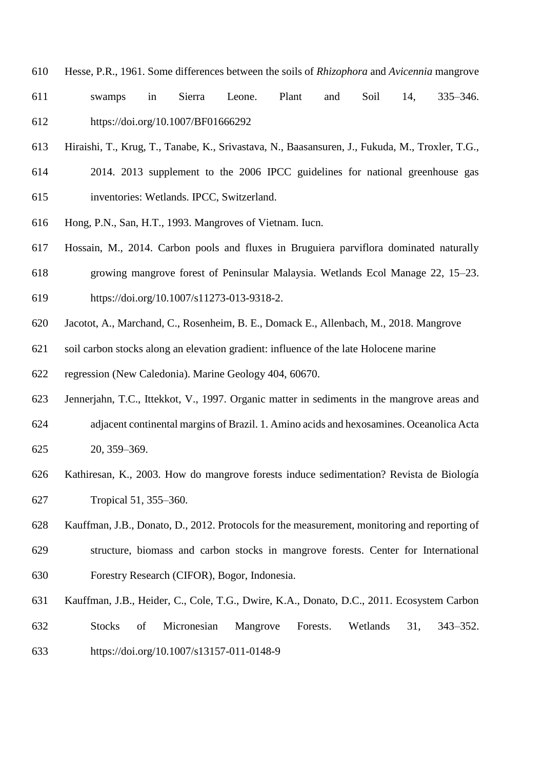- Hesse, P.R., 1961. Some differences between the soils of *Rhizophora* and *Avicennia* mangrove
- swamps in Sierra Leone. Plant and Soil 14, 335–346. https://doi.org/10.1007/BF01666292
- Hiraishi, T., Krug, T., Tanabe, K., Srivastava, N., Baasansuren, J., Fukuda, M., Troxler, T.G.,
- 2014. 2013 supplement to the 2006 IPCC guidelines for national greenhouse gas inventories: Wetlands. IPCC, Switzerland.
- Hong, P.N., San, H.T., 1993. Mangroves of Vietnam. Iucn.
- Hossain, M., 2014. Carbon pools and fluxes in Bruguiera parviflora dominated naturally
- growing mangrove forest of Peninsular Malaysia. Wetlands Ecol Manage 22, 15–23.
- https://doi.org/10.1007/s11273-013-9318-2.
- Jacotot, A., Marchand, C., Rosenheim, B. E., Domack E., Allenbach, M., 2018. Mangrove
- soil carbon stocks along an elevation gradient: influence of the late Holocene marine
- regression (New Caledonia). Marine Geology 404, 60670.
- Jennerjahn, T.C., Ittekkot, V., 1997. Organic matter in sediments in the mangrove areas and adjacent continental margins of Brazil. 1. Amino acids and hexosamines. Oceanolica Acta 20, 359–369.
- Kathiresan, K., 2003. How do mangrove forests induce sedimentation? Revista de Biología Tropical 51, 355–360.
- Kauffman, J.B., Donato, D., 2012. Protocols for the measurement, monitoring and reporting of structure, biomass and carbon stocks in mangrove forests. Center for International Forestry Research (CIFOR), Bogor, Indonesia.
- Kauffman, J.B., Heider, C., Cole, T.G., Dwire, K.A., Donato, D.C., 2011. Ecosystem Carbon Stocks of Micronesian Mangrove Forests. Wetlands 31, 343–352. https://doi.org/10.1007/s13157-011-0148-9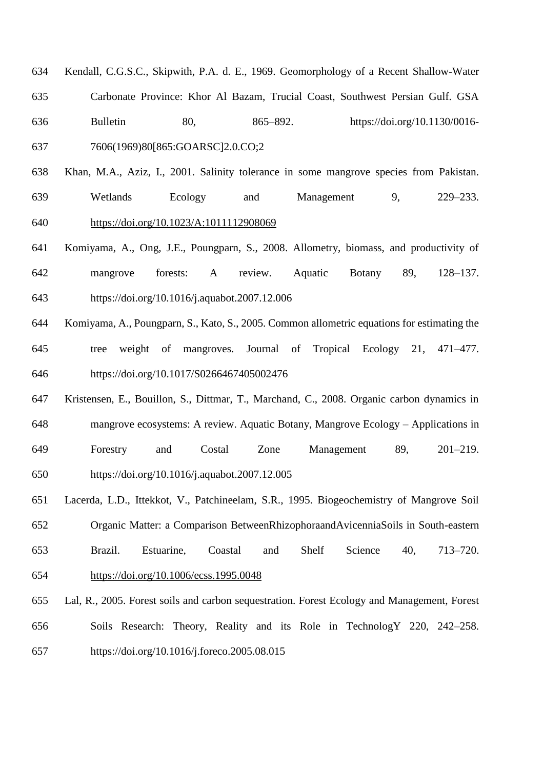- Kendall, C.G.S.C., Skipwith, P.A. d. E., 1969. Geomorphology of a Recent Shallow-Water Carbonate Province: Khor Al Bazam, Trucial Coast, Southwest Persian Gulf. GSA Bulletin 80, 865–892. https://doi.org/10.1130/0016- 7606(1969)80[865:GOARSC]2.0.CO;2
- Khan, M.A., Aziz, I., 2001. Salinity tolerance in some mangrove species from Pakistan. Wetlands Ecology and Management 9, 229–233. <https://doi.org/10.1023/A:1011112908069>
- Komiyama, A., Ong, J.E., Poungparn, S., 2008. Allometry, biomass, and productivity of mangrove forests: A review. Aquatic Botany 89, 128–137. https://doi.org/10.1016/j.aquabot.2007.12.006
- Komiyama, A., Poungparn, S., Kato, S., 2005. Common allometric equations for estimating the tree weight of mangroves. Journal of Tropical Ecology 21, 471–477. https://doi.org/10.1017/S0266467405002476
- Kristensen, E., Bouillon, S., Dittmar, T., Marchand, C., 2008. Organic carbon dynamics in mangrove ecosystems: A review. Aquatic Botany, Mangrove Ecology – Applications in Forestry and Costal Zone Management 89, 201–219. https://doi.org/10.1016/j.aquabot.2007.12.005
- Lacerda, L.D., Ittekkot, V., Patchineelam, S.R., 1995. Biogeochemistry of Mangrove Soil Organic Matter: a Comparison BetweenRhizophoraandAvicenniaSoils in South-eastern Brazil. Estuarine, Coastal and Shelf Science 40, 713–720. <https://doi.org/10.1006/ecss.1995.0048>
- Lal, R., 2005. Forest soils and carbon sequestration. Forest Ecology and Management, Forest Soils Research: Theory, Reality and its Role in TechnologY 220, 242–258. https://doi.org/10.1016/j.foreco.2005.08.015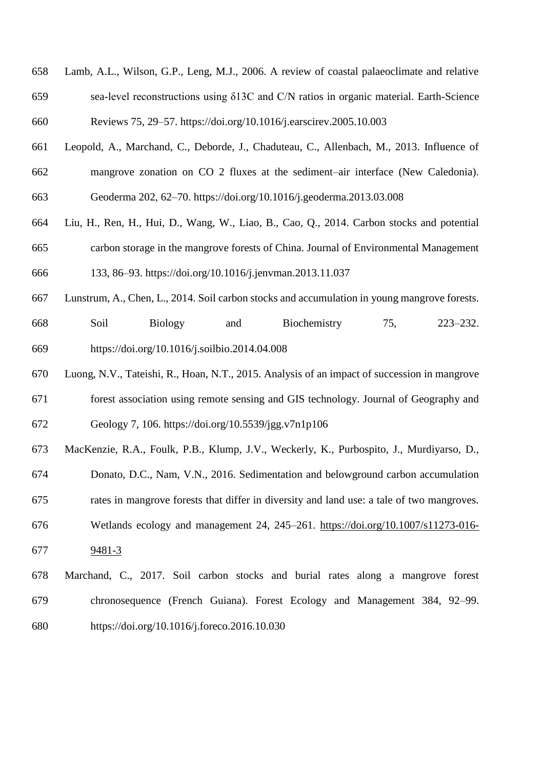- Lamb, A.L., Wilson, G.P., Leng, M.J., 2006. A review of coastal palaeoclimate and relative sea-level reconstructions using δ13C and C/N ratios in organic material. Earth-Science Reviews 75, 29–57. https://doi.org/10.1016/j.earscirev.2005.10.003
- Leopold, A., Marchand, C., Deborde, J., Chaduteau, C., Allenbach, M., 2013. Influence of mangrove zonation on CO 2 fluxes at the sediment–air interface (New Caledonia). Geoderma 202, 62–70. <https://doi.org/10.1016/j.geoderma.2013.03.008>
- Liu, H., Ren, H., Hui, D., Wang, W., Liao, B., Cao, Q., 2014. Carbon stocks and potential carbon storage in the mangrove forests of China. Journal of Environmental Management
- 133, 86–93. https://doi.org/10.1016/j.jenvman.2013.11.037
- Lunstrum, A., Chen, L., 2014. Soil carbon stocks and accumulation in young mangrove forests. Soil Biology and Biochemistry 75, 223–232. https://doi.org/10.1016/j.soilbio.2014.04.008
- Luong, N.V., Tateishi, R., Hoan, N.T., 2015. Analysis of an impact of succession in mangrove forest association using remote sensing and GIS technology. Journal of Geography and Geology 7, 106. https://doi.org[/10.5539/jgg.v7n1p106](https://doi.org/10.5539/jgg.v7n1p106)
- MacKenzie, R.A., Foulk, P.B., Klump, J.V., Weckerly, K., Purbospito, J., Murdiyarso, D.,
- Donato, D.C., Nam, V.N., 2016. Sedimentation and belowground carbon accumulation
- rates in mangrove forests that differ in diversity and land use: a tale of two mangroves.
- Wetlands ecology and management 24, 245–261. [https://doi.org/10.1007/s11273-016-](https://doi.org/10.1007/s11273-016-9481-3) [9481-3](https://doi.org/10.1007/s11273-016-9481-3)
- Marchand, C., 2017. Soil carbon stocks and burial rates along a mangrove forest chronosequence (French Guiana). Forest Ecology and Management 384, 92–99. https://doi.org/10.1016/j.foreco.2016.10.030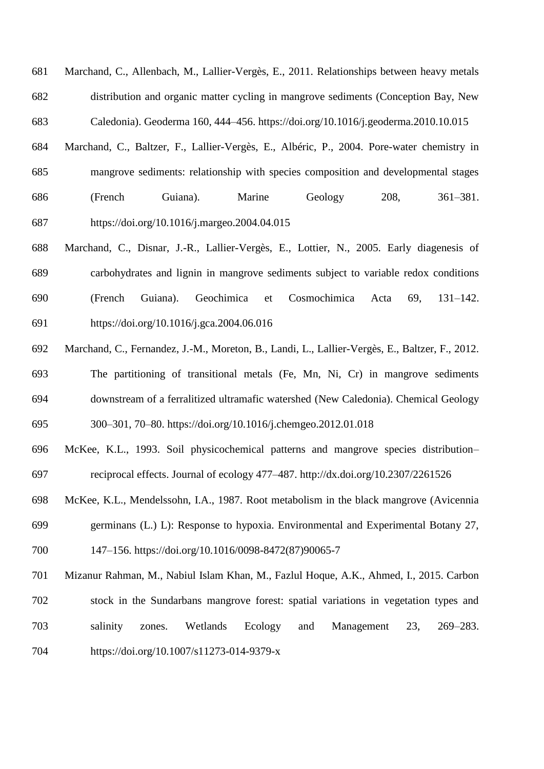Marchand, C., Allenbach, M., Lallier-Vergès, E., 2011. Relationships between heavy metals distribution and organic matter cycling in mangrove sediments (Conception Bay, New Caledonia). Geoderma 160, 444–456. https://doi.org/10.1016/j.geoderma.2010.10.015

- Marchand, C., Baltzer, F., Lallier-Vergès, E., Albéric, P., 2004. Pore-water chemistry in mangrove sediments: relationship with species composition and developmental stages (French Guiana). Marine Geology 208, 361–381. https://doi.org/10.1016/j.margeo.2004.04.015
- Marchand, C., Disnar, J.-R., Lallier-Vergès, E., Lottier, N., 2005. Early diagenesis of carbohydrates and lignin in mangrove sediments subject to variable redox conditions (French Guiana). Geochimica et Cosmochimica Acta 69, 131–142. https://doi.org/10.1016/j.gca.2004.06.016
- Marchand, C., Fernandez, J.-M., Moreton, B., Landi, L., Lallier-Vergès, E., Baltzer, F., 2012. The partitioning of transitional metals (Fe, Mn, Ni, Cr) in mangrove sediments downstream of a ferralitized ultramafic watershed (New Caledonia). Chemical Geology 300–301, 70–80. https://doi.org/10.1016/j.chemgeo.2012.01.018
- McKee, K.L., 1993. Soil physicochemical patterns and mangrove species distribution– reciprocal effects. Journal of ecology 477–487. http://dx.doi.org/10.2307/2261526
- McKee, K.L., Mendelssohn, I.A., 1987. Root metabolism in the black mangrove (Avicennia germinans (L.) L): Response to hypoxia. Environmental and Experimental Botany 27, 147–156. https://doi.org/10.1016/0098-8472(87)90065-7
- Mizanur Rahman, M., Nabiul Islam Khan, M., Fazlul Hoque, A.K., Ahmed, I., 2015. Carbon stock in the Sundarbans mangrove forest: spatial variations in vegetation types and salinity zones. Wetlands Ecology and Management 23, 269–283. https://doi.org/10.1007/s11273-014-9379-x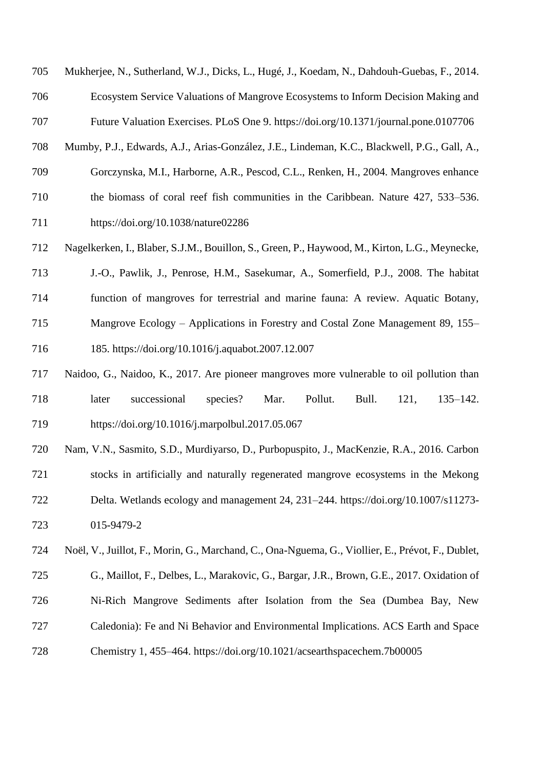Mukherjee, N., Sutherland, W.J., Dicks, L., Hugé, J., Koedam, N., Dahdouh-Guebas, F., 2014.

Ecosystem Service Valuations of Mangrove Ecosystems to Inform Decision Making and

Future Valuation Exercises. PLoS One 9. https://doi.org/10.1371/journal.pone.0107706

- Mumby, P.J., Edwards, A.J., Arias-González, J.E., Lindeman, K.C., Blackwell, P.G., Gall, A.,
- Gorczynska, M.I., Harborne, A.R., Pescod, C.L., Renken, H., 2004. Mangroves enhance
- the biomass of coral reef fish communities in the Caribbean. Nature 427, 533–536.

<https://doi.org/10.1038/nature02286>

- Nagelkerken, I., Blaber, S.J.M., Bouillon, S., Green, P., Haywood, M., Kirton, L.G., Meynecke,
- J.-O., Pawlik, J., Penrose, H.M., Sasekumar, A., Somerfield, P.J., 2008. The habitat
- function of mangroves for terrestrial and marine fauna: A review. Aquatic Botany,
- Mangrove Ecology Applications in Forestry and Costal Zone Management 89, 155–
- 185. https://doi.org/10.1016/j.aquabot.2007.12.007
- Naidoo, G., Naidoo, K., 2017. Are pioneer mangroves more vulnerable to oil pollution than later successional species? Mar. Pollut. Bull. 121, 135–142. https://doi.org/10.1016/j.marpolbul.2017.05.067
- Nam, V.N., Sasmito, S.D., Murdiyarso, D., Purbopuspito, J., MacKenzie, R.A., 2016. Carbon stocks in artificially and naturally regenerated mangrove ecosystems in the Mekong Delta. Wetlands ecology and management 24, 231–244. [https://doi.org/10.1007/s11273-](https://doi.org/10.1007/s11273-015-9479-2) [015-9479-2](https://doi.org/10.1007/s11273-015-9479-2)
- Noël, V., Juillot, F., Morin, G., Marchand, C., Ona-Nguema, G., Viollier, E., Prévot, F., Dublet, G., Maillot, F., Delbes, L., Marakovic, G., Bargar, J.R., Brown, G.E., 2017. Oxidation of Ni-Rich Mangrove Sediments after Isolation from the Sea (Dumbea Bay, New Caledonia): Fe and Ni Behavior and Environmental Implications. ACS Earth and Space
- Chemistry 1, 455–464. https://doi.org/10.1021/acsearthspacechem.7b00005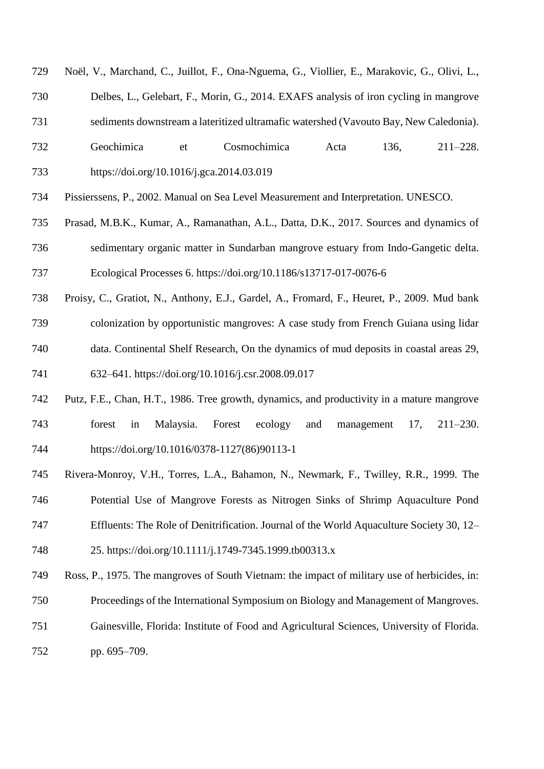- Noël, V., Marchand, C., Juillot, F., Ona-Nguema, G., Viollier, E., Marakovic, G., Olivi, L.,
- Delbes, L., Gelebart, F., Morin, G., 2014. EXAFS analysis of iron cycling in mangrove
- sediments downstream a lateritized ultramafic watershed (Vavouto Bay, New Caledonia).
- Geochimica et Cosmochimica Acta 136, 211–228. https://doi.org/10.1016/j.gca.2014.03.019
- Pissierssens, P., 2002. Manual on Sea Level Measurement and Interpretation. UNESCO.
- Prasad, M.B.K., Kumar, A., Ramanathan, A.L., Datta, D.K., 2017. Sources and dynamics of sedimentary organic matter in Sundarban mangrove estuary from Indo-Gangetic delta. Ecological Processes 6. https://doi.org/10.1186/s13717-017-0076-6
- Proisy, C., Gratiot, N., Anthony, E.J., Gardel, A., Fromard, F., Heuret, P., 2009. Mud bank
- colonization by opportunistic mangroves: A case study from French Guiana using lidar
- data. Continental Shelf Research, On the dynamics of mud deposits in coastal areas 29, 632–641. https://doi.org/10.1016/j.csr.2008.09.017
- Putz, F.E., Chan, H.T., 1986. Tree growth, dynamics, and productivity in a mature mangrove forest in Malaysia. Forest ecology and management 17, 211–230. [https://doi.org/10.1016/0378-1127\(86\)90113-1](https://doi.org/10.1016/0378-1127(86)90113-1)
- Rivera-Monroy, V.H., Torres, L.A., Bahamon, N., Newmark, F., Twilley, R.R., 1999. The
- Potential Use of Mangrove Forests as Nitrogen Sinks of Shrimp Aquaculture Pond
- Effluents: The Role of Denitrification. Journal of the World Aquaculture Society 30, 12–
- 25. https://doi.org/10.1111/j.1749-7345.1999.tb00313.x
- Ross, P., 1975. The mangroves of South Vietnam: the impact of military use of herbicides, in:
- Proceedings of the International Symposium on Biology and Management of Mangroves.
- Gainesville, Florida: Institute of Food and Agricultural Sciences, University of Florida.
- pp. 695–709.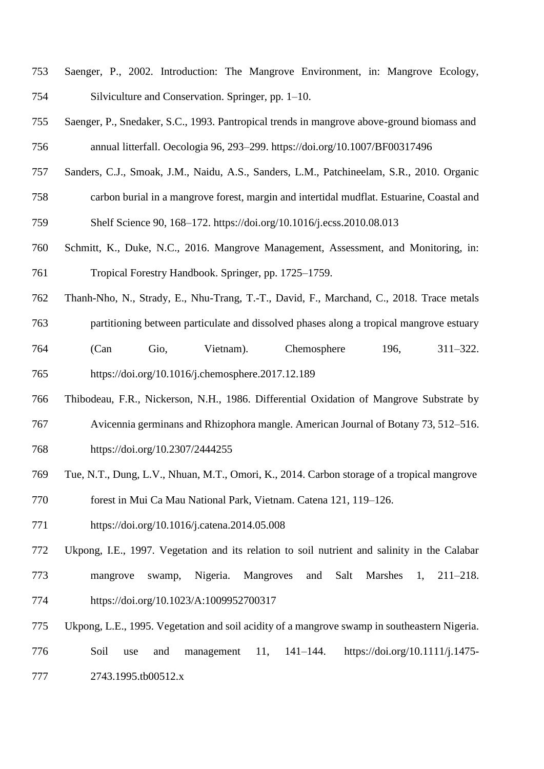- Saenger, P., 2002. Introduction: The Mangrove Environment, in: Mangrove Ecology, Silviculture and Conservation. Springer, pp. 1–10.
- Saenger, P., Snedaker, S.C., 1993. Pantropical trends in mangrove above-ground biomass and annual litterfall. Oecologia 96, 293–299. <https://doi.org/10.1007/BF00317496>
- Sanders, C.J., Smoak, J.M., Naidu, A.S., Sanders, L.M., Patchineelam, S.R., 2010. Organic
- carbon burial in a mangrove forest, margin and intertidal mudflat. Estuarine, Coastal and

Shelf Science 90, 168–172. https://doi.org/10.1016/j.ecss.2010.08.013

- Schmitt, K., Duke, N.C., 2016. Mangrove Management, Assessment, and Monitoring, in: Tropical Forestry Handbook. Springer, pp. 1725–1759.
- Thanh-Nho, N., Strady, E., Nhu-Trang, T.-T., David, F., Marchand, C., 2018. Trace metals
- partitioning between particulate and dissolved phases along a tropical mangrove estuary
- (Can Gio, Vietnam). Chemosphere 196, 311–322. https://doi.org/10.1016/j.chemosphere.2017.12.189
- Thibodeau, F.R., Nickerson, N.H., 1986. Differential Oxidation of Mangrove Substrate by Avicennia germinans and Rhizophora mangle. American Journal of Botany 73, 512–516.
- https://doi.org/10.2307/2444255
- Tue, N.T., Dung, L.V., Nhuan, M.T., Omori, K., 2014. Carbon storage of a tropical mangrove
- forest in Mui Ca Mau National Park, Vietnam. Catena 121, 119–126.
- <https://doi.org/10.1016/j.catena.2014.05.008>
- Ukpong, I.E., 1997. Vegetation and its relation to soil nutrient and salinity in the Calabar mangrove swamp, Nigeria. Mangroves and Salt Marshes 1, 211–218. <https://doi.org/10.1023/A:1009952700317>
- Ukpong, L.E., 1995. Vegetation and soil acidity of a mangrove swamp in southeastern Nigeria.
- Soil use and management 11, 141–144. https://doi.org/10.1111/j.1475- 2743.1995.tb00512.x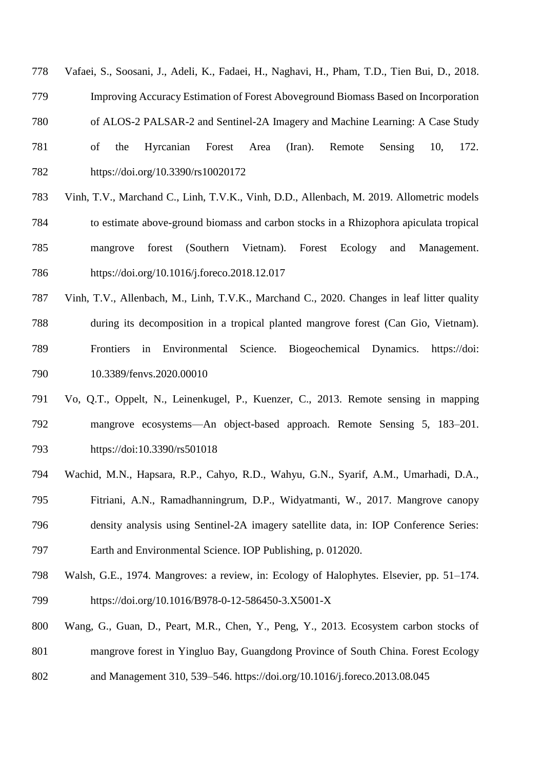- Vafaei, S., Soosani, J., Adeli, K., Fadaei, H., Naghavi, H., Pham, T.D., Tien Bui, D., 2018.
- Improving Accuracy Estimation of Forest Aboveground Biomass Based on Incorporation
- of ALOS-2 PALSAR-2 and Sentinel-2A Imagery and Machine Learning: A Case Study
- of the Hyrcanian Forest Area (Iran). Remote Sensing 10, 172. <https://doi.org/10.3390/rs10020172>
- Vinh, T.V., Marchand C., Linh, T.V.K., Vinh, D.D., Allenbach, M. 2019. Allometric models to estimate above-ground biomass and carbon stocks in a Rhizophora apiculata tropical mangrove forest (Southern Vietnam). Forest Ecology and Management. <https://doi.org/10.1016/j.foreco.2018.12.017>
- Vinh, T.V., Allenbach, M., Linh, T.V.K., Marchand C., 2020. Changes in leaf litter quality during its decomposition in a tropical planted mangrove forest (Can Gio, Vietnam). Frontiers in Environmental Science. Biogeochemical Dynamics. https://doi: 10.3389/fenvs.2020.00010
- Vo, Q.T., Oppelt, N., Leinenkugel, P., Kuenzer, C., 2013. Remote sensing in mapping mangrove ecosystems—An object-based approach. Remote Sensing 5, 183–201. https://doi:10.3390/rs501018
- Wachid, M.N., Hapsara, R.P., Cahyo, R.D., Wahyu, G.N., Syarif, A.M., Umarhadi, D.A.,
- Fitriani, A.N., Ramadhanningrum, D.P., Widyatmanti, W., 2017. Mangrove canopy
- density analysis using Sentinel-2A imagery satellite data, in: IOP Conference Series: Earth and Environmental Science. IOP Publishing, p. 012020.
- Walsh, G.E., 1974. Mangroves: a review, in: Ecology of Halophytes. Elsevier, pp. 51–174.
- <https://doi.org/10.1016/B978-0-12-586450-3.X5001-X>
- Wang, G., Guan, D., Peart, M.R., Chen, Y., Peng, Y., 2013. Ecosystem carbon stocks of
- mangrove forest in Yingluo Bay, Guangdong Province of South China. Forest Ecology
- and Management 310, 539–546. https://doi.org/10.1016/j.foreco.2013.08.045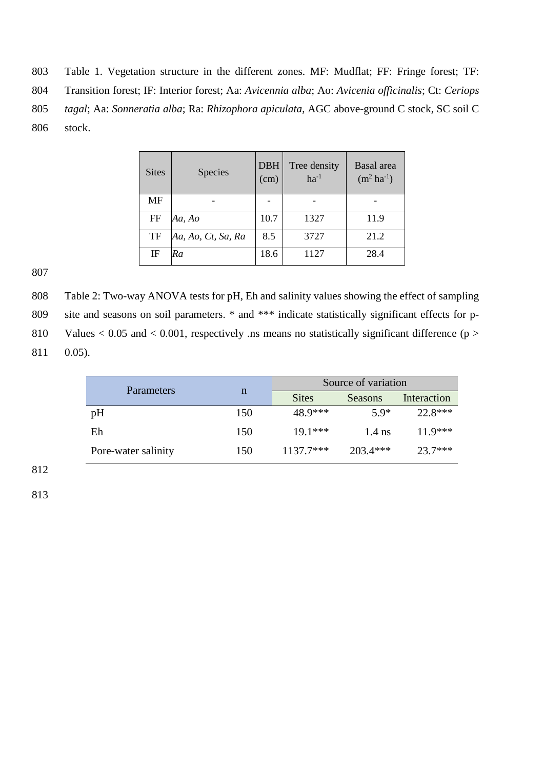803 Table 1. Vegetation structure in the different zones. MF: Mudflat; FF: Fringe forest; TF:

804 Transition forest; IF: Interior forest; Aa: *Avicennia alba*; Ao: *Avicenia officinalis*; Ct: *Ceriops* 

805 *tagal*; Aa: *Sonneratia alba*; Ra: *Rhizophora apiculata*, AGC above-ground C stock, SC soil C

806 stock.

| <b>Sites</b> | <b>Species</b>     | <b>DBH</b><br>(cm) | Tree density<br>$ha^{-1}$ | Basal area<br>$(m^2 \, ha^{-1})$ |
|--------------|--------------------|--------------------|---------------------------|----------------------------------|
| MF           |                    |                    |                           |                                  |
| FF           | Aa, Ao             | 10.7               | 1327                      | 11.9                             |
| TF           | Aa, Ao, Ct, Sa, Ra | 8.5                | 3727                      | 21.2                             |
| IF           | Ra                 | 18.6               | 1127                      | 28.4                             |

807

808 Table 2: Two-way ANOVA tests for pH, Eh and salinity values showing the effect of sampling 809 site and seasons on soil parameters. \* and \*\*\* indicate statistically significant effects for p-810 Values  $< 0.05$  and  $< 0.001$ , respectively .ns means no statistically significant difference (p  $>$ 811 0.05).

| Parameters          |     | Source of variation |            |             |
|---------------------|-----|---------------------|------------|-------------|
|                     | n   | <b>Sites</b>        | Seasons    | Interaction |
| pH                  | 150 | 48.9***             | $5.9*$     | 22.8***     |
| Eh                  | 150 | $19.1***$           | $1.4$ ns   | $11.9***$   |
| Pore-water salinity | 150 | $1137.7***$         | $203.4***$ | $23.7***$   |

812

813